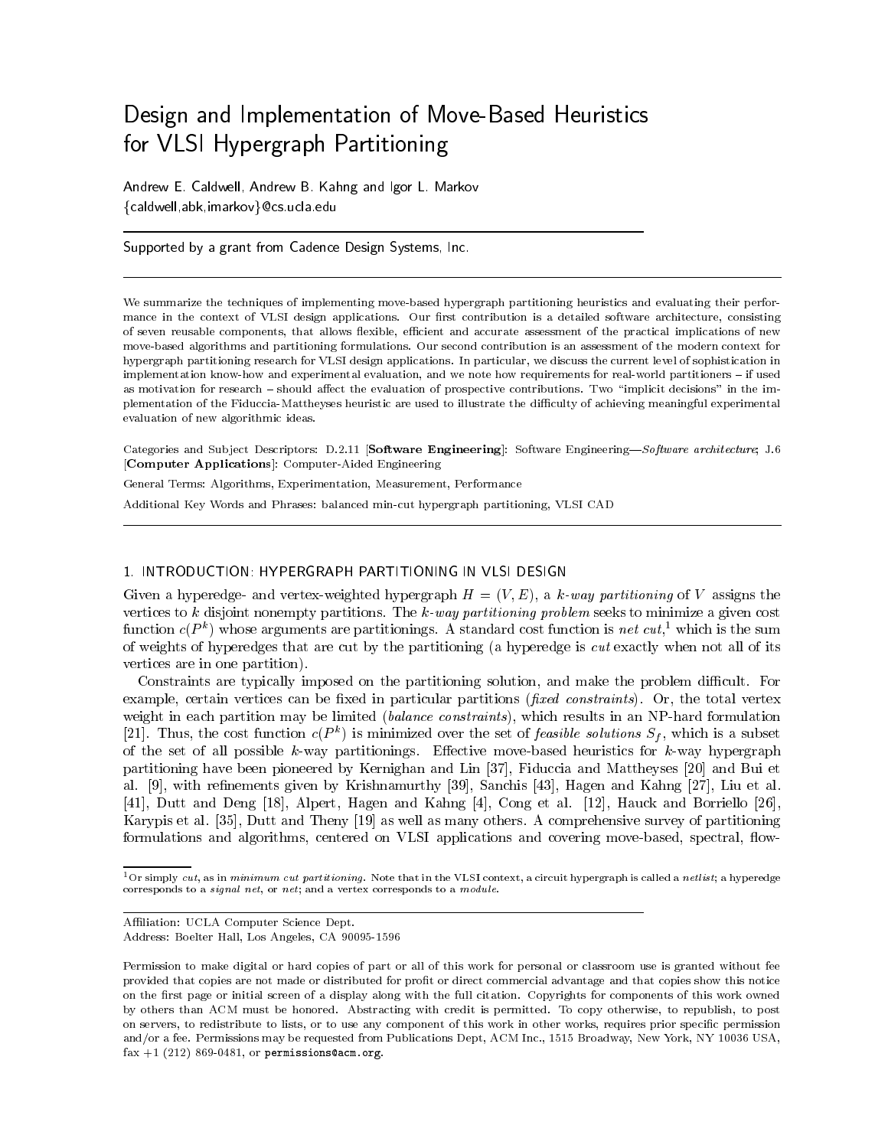# Design and Implementation of Move-Based Heuristics for VLSI Hypergraph Partitioning

Andrew E. Caldwell, Andrew B. Kahng and Igor L. Markov {caldwell,abk,imarkov}@cs.ucla.edu

Supported by a grant from Cadence Design Systems, Inc.

We summarize the techniques of implementing move-based hypergraph partitioning heuristics and evaluating their performance in the context of VLSI design applications. Our first contribution is a detailed software architecture, consisting of seven reusable components, that allows flexible, efficient and accurate assessment of the practical implications of new move-based algorithms and partitioning formulations. Our second contribution is an assessment of the modern context for hypergraph partitioning research for VLSI design applications. In particular, we discuss the current level of sophistication in implementation know-how and experimental evaluation, and we note how requirements for real-world partitioners - if used as motivation for research - should affect the evaluation of prospective contributions. Two "implicit decisions" in the implementation of the Fiduccia-Mattheyses heuristic are used to illustrate the diculty of achieving meaningful experimental evaluation of new algorithmic ideas.

Categories and Subject Descriptors: D.2.11 [Software Engineering]: Software Engineering-Software architecture; J.6 [Computer Applications]: Computer-Aided Engineering

General Terms: Algorithms, Experimentation, Measurement, Performance

Additional Key Words and Phrases: balanced min-cut hypergraph partitioning, VLSI CAD

#### 1. INTRODUCTION: HYPERGRAPH PARTITIONING IN VLSI DESIGN

Given a hyperedge- and vertex-weighted hypergraph  $H = (V, E)$ , a k-way partitioning of V assigns the vertices to  $k$  disjoint nonempty partitions. The  $k$ -way partitioning problem seeks to minimize a given cost function  $c(P^+)$  whose arguments are partitionings. A standard cost function is net cut, $^+$  which is the sum of weights of hyperedges that are cut by the partitioning (a hyperedge is cut exactly when not all of its vertices are in one partition).

Constraints are typically imposed on the partitioning solution, and make the problem difficult. For example, certain vertices can be fixed in particular partitions (*fixed constraints*). Or, the total vertex weight in each partition may be limited *(balance constraints)*, which results in an NP-hard formulation [21]. Thus, the cost function  $c(P^*)$  is minimized over the set of *feasible solutions*  $S_f$ , which is a subset of the set of all possible  $k$ -way partitionings. Effective move-based heuristics for  $k$ -way hypergraph partitioning have been pioneered by Kernighan and Lin [37], Fiduccia and Mattheyses [20] and Bui et al. [9], with refinements given by Krishnamurthy [39], Sanchis [43], Hagen and Kahng [27], Liu et al. [41], Dutt and Deng [18], Alpert, Hagen and Kahng [4],Cong et al. [12], Hauck and Borriello [26], Karypis et al. [35], Dutt and Theny [19] as well as many others. A comprehensive survey of partitioning formulations and algorithms, centered on VLSI applications and covering move-based, spectral, flow-

Affiliation: UCLA Computer Science Dept.

Address: Boelter Hall, Los Angeles, CA 90095-1596

<sup>&</sup>lt;sup>1</sup>Or simply cut, as in minimum cut partitioning. Note that in the VLSI context, a circuit hypergraph is called a netlist; a hyperedge corresponds to a signal net, or net; and a vertex corresponds to a module.

Permission to make digital or hard copies of part or all of this work for personal or classroom use is granted without fee provided that copies are not made or distributed for prot or direct commercial advantage and that copies show this notice on the first page or initial screen of a display along with the full citation. Copyrights for components of this work owned by others than ACM must be honored. Abstracting with credit is permitted. To copy otherwise, to republish, to post on servers, to redistribute to lists, or to use any component of this work in other works, requires prior specic permission and/or a fee. Permissions may be requested from Publications Dept, ACM Inc., 1515 Broadway, New York, NY 10036 USA, fax  $+1$  (212) 869-0481, or permissions@acm.org.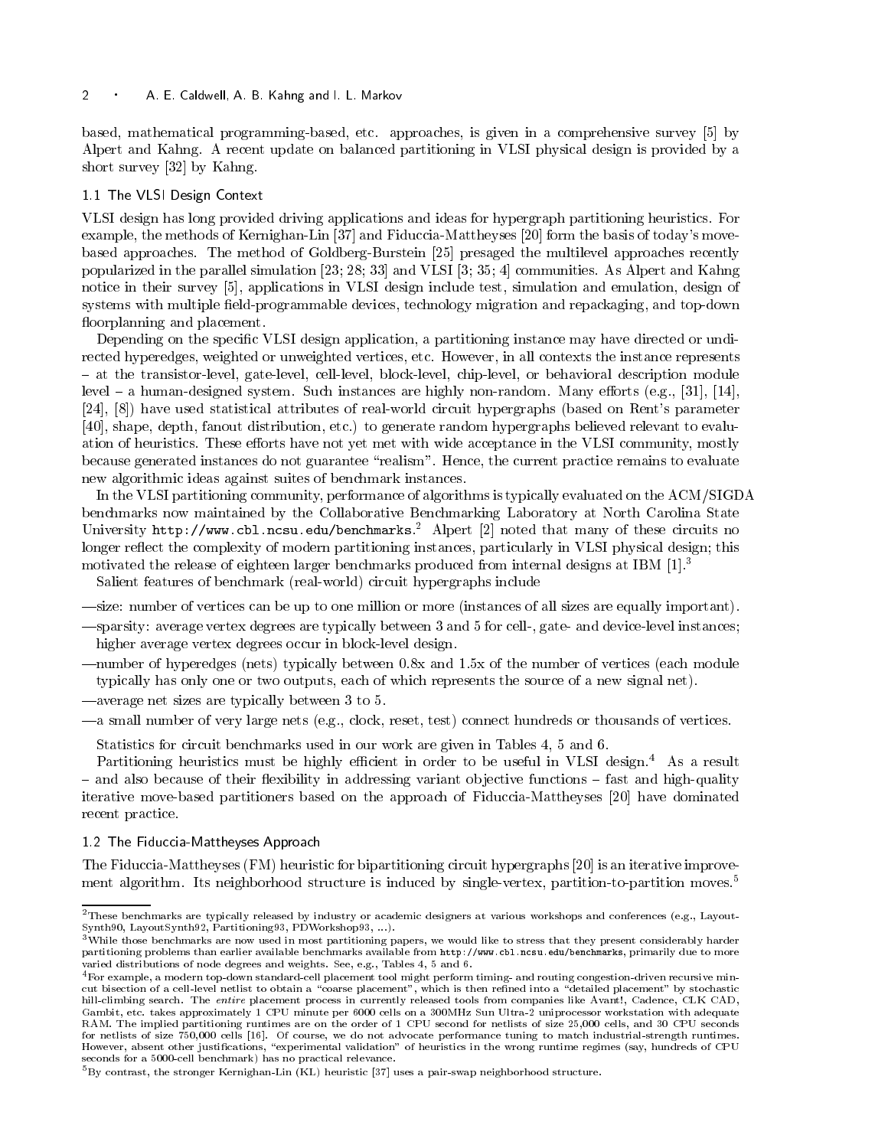based, mathematical programming-based, etc. approaches, is given in a comprehensive survey [5] by Alpert and Kahng. A recent update on balanced partitioning in VLSI physical design is provided by a short survey [32] by Kahng.

#### 1.1 The VLSI Design Context

VLSI design has long provided driving applications and ideas for hypergraph partitioning heuristics. For example, the methods of Kernighan-Lin [37] and Fiduccia-Mattheyses [20] form the basis of today's movebased approaches. The method of Goldberg-Burstein [25] presaged the multilevel approaches recently popularized in the parallel simulation [23; 28; 33] and VLSI [3; 35; 4] communities. As Alpert and Kahng notice in their survey [5], applications in VLSI design include test, simulation and emulation, design of systems with multiple field-programmable devices, technology migration and repackaging, and top-down floorplanning and placement.

Depending on the specific VLSI design application, a partitioning instance may have directed or undirected hyperedges, weighted or unweighted vertices, etc. However, in all contexts the instance represents { at the transistor-level, gate-level, cell-level, block-level, chip-level, or behavioral description module  $level - a human-designed system. Such instances are highly non-random. Many efforts (e.g., [31], [14],$ [24], [8]) have used statistical attributes of real-world circuit hypergraphs (based on Rent's parameter [40], shape, depth, fanout distribution, etc.) to generate random hypergraphs believed relevant to evaluation of heuristics. These efforts have not yet met with wide acceptance in the VLSI community, mostly because generated instances do not guarantee "realism". Hence, the current practice remains to evaluate new algorithmic ideas against suites of benchmark instances.

In the VLSI partitioning community, performance of algorithms is typically evaluated on the ACM/SIGDA benchmarks now maintained by the Collaborative Benchmarking Laboratory at North Carolina State benchmarks now maintained by the Collaborative Benchmarking Laboratory at North Carolina State University http://www.cbl.ncsu.edu/benchmarks.2 Alpert [2] noted that many of these circuits no longer reflect the complexity of modern partitioning instances, particularly in VLSI physical design; this motivated the release of eighteen larger benchmarks produced from internal designs at IBM [1].3

Salient features of benchmark (real-world) circuit hypergraphs include

|size: number of vertices can be up to one million or more (instances of all sizes are equally important).

|sparsity: average vertex degrees are typically between 3 and 5 for cell-, gate- and device-level instances; higher average vertex degrees occur in block-level design.

|number of hyperedges (nets) typically between 0.8x and 1.5x of the number of vertices (each module typically has only one or two outputs, each of which represents the source of a new signal net).

-average net sizes are typically between 3 to 5.

 $\alpha$  small number of very large nets (e.g., clock, reset, test) connect hundreds or thousands of vertices.

Statistics for circuit benchmarks used in our work are given in Tables 4, 5 and 6.

Partitioning heuristics must be highly efficient in order to be useful in VLSI design.<sup>4</sup> As a result - and also because of their flexibility in addressing variant objective functions - fast and high-quality iterative move-based partitioners based on the approach of Fiduccia-Mattheyses [20] have dominated recent practice.

#### 1.2 The Fiduccia-Mattheyses Approach

The Fiduccia-Mattheyses (FM) heuristic for bipartitioning circuit hypergraphs [20] is an iterative improvement algorithm. Its neighborhood structure is induced by single-vertex, partition-to-partition moves.<sup>5</sup>

 $2$ These benchmarks are typically released by industry or academic designers at various workshops and conferences (e.g., Layout-Synth90, LayoutSynth92, Partitioning93, PDWorkshop93, ...).

 $3$ While those benchmarks are now used in most partitioning papers, we would like to stress that they present considerably harder partitioning problems than earlier available benchmarks available from http://www.cbl.ncsu.edu/benchmarks, primarily due to more varied distributions of node degrees and weights. See, e.g., Tables 4, 5 and 6.

 $^4$ For example, a modern top-down standard-cell placement tool might perform timing- and routing congestion-driven recursive mincut bisection of a cell-level netlist to obtain a "coarse placement", which is then refined into a "detailed placement" by stochastic hill-climbing search. The entire placement process in currently released tools from companies like Avant!, Cadence, CLK CAD, Gambit, etc. takes approximately 1 CPU minute per 6000 cells on a 300MHz Sun Ultra-2 uniprocessor workstation with adequate RAM. The implied partitioning runtimes are on the order of 1 CPU second for netlists of size 25,000 cells, and 30 CPU seconds for netlists of size 750,000 cells [16]. Of course, we do not advocate performance tuning to match industrial-strength runtimes. However, absent other justifications, "experimental validation" of heuristics in the wrong runtime regimes (say, hundreds of CPU seconds for a 5000-cell benchmark) has no practical relevance.

 $^5\rm{By}$  contrast, the stronger Kernighan-Lin (KL) heuristic [37] uses a pair-swap neighborhood structure.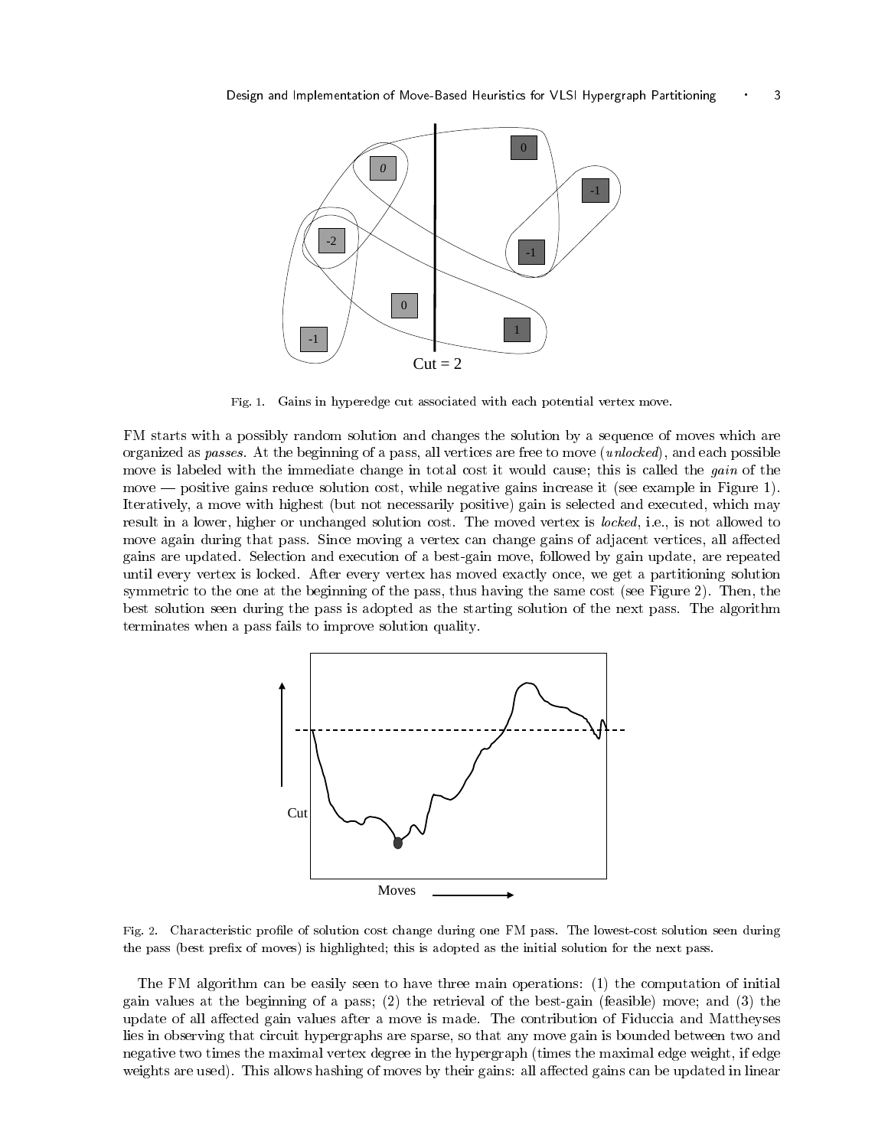

Fig. 1. Gains in hyperedge cut associated with each potential vertex move.

FM starts with a possibly random solution and changes the solution by a sequence of moves which are organized as passes. At the beginning of a pass, all vertices are free to move (unlocked), and each possible move is labeled with the immediate change in total cost it would cause; this is called the *gain* of the move — positive gains reduce solution cost, while negative gains increase it (see example in Figure 1). Iteratively, a move with highest (but not necessarily positive) gain is selected and executed, which may result in a lower, higher or unchanged solution cost. The moved vertex is locked, i.e., is not allowed to move again during that pass. Since moving a vertex can change gains of adjacent vertices, all affected gains are updated. Selection and execution of a best-gain move, followed by gain update, are repeated until every vertex is locked. After every vertex has moved exactly once, we get a partitioning solution symmetric to the one at the beginning of the pass, thus having the same cost (see Figure 2). Then, the best solution seen during the pass is adopted as the starting solution of the next pass. The algorithm terminates when a pass fails to improve solution quality.



Fig. 2. Characteristic profile of solution cost change during one FM pass. The lowest-cost solution seen during the pass (best prefix of moves) is highlighted; this is adopted as the initial solution for the next pass.

The FM algorithm can be easily seen to have three main operations: (1) the computation of initial gain values at the beginning of a pass; (2) the retrieval of the best-gain (feasible) move; and (3) the update of all affected gain values after a move is made. The contribution of Fiduccia and Mattheyses lies in observing that circuit hypergraphs are sparse, so that any move gain is bounded between two and negative two times the maximal vertex degree in the hypergraph (times the maximal edge weight, if edge weights are used). This allows hashing of moves by their gains: all affected gains can be updated in linear

3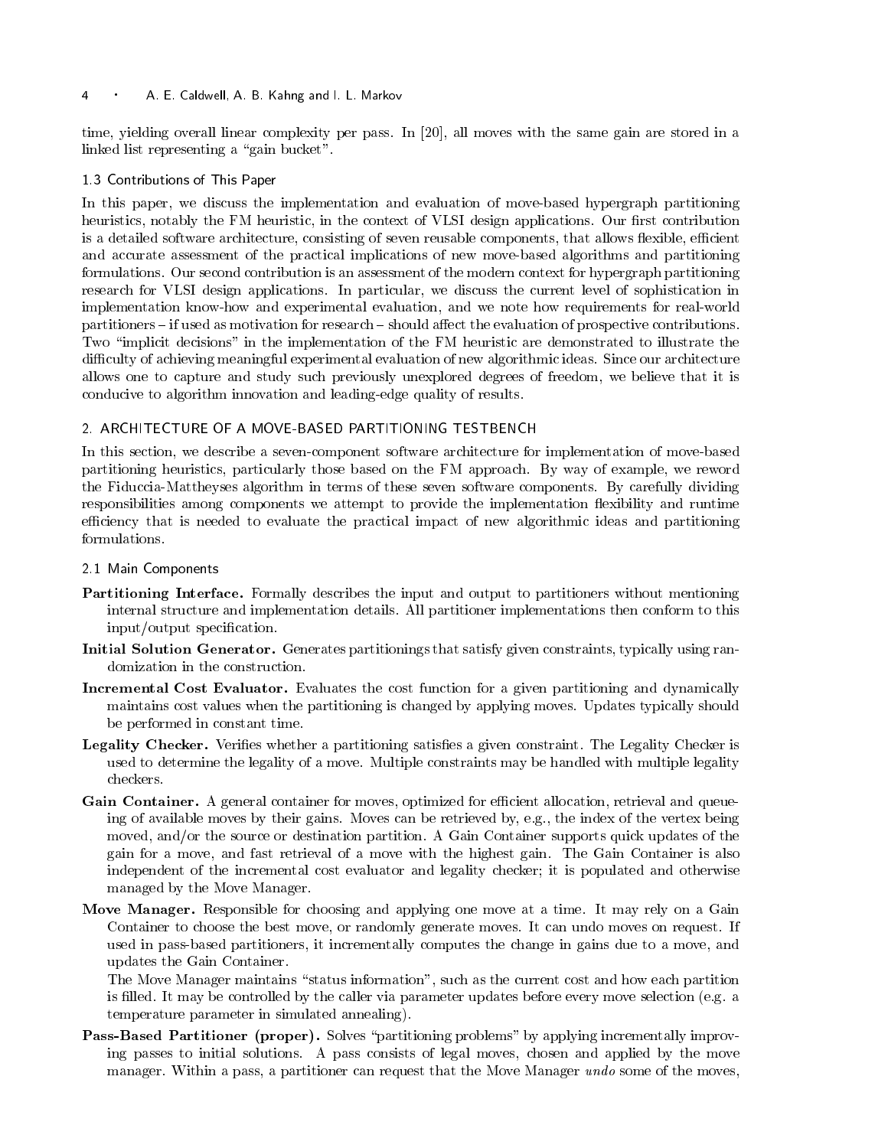#### $\overline{4}$ 4 A. E. Caldwell, A. B. Kahng and I. L. Markov

time, yielding overall linear complexity per pass. In [20], all moves with the same gain are stored in a linked list representing a "gain bucket".

#### 1.3 Contributions of This Paper

In this paper, we discuss the implementation and evaluation of move-based hypergraph partitioning heuristics, notably the FM heuristic, in the context of VLSI design applications. Our first contribution is a detailed software architecture, consisting of seven reusable components, that allows flexible, efficient and accurate assessment of the practical implications of new move-based algorithms and partitioning formulations. Our second contribution is an assessment of the modern context for hypergraph partitioning research for VLSI design applications. In particular, we discuss the current level of sophistication in implementation know-how and experimental evaluation, and we note how requirements for real-world partitioners - if used as motivation for research - should affect the evaluation of prospective contributions. Two "implicit decisions" in the implementation of the FM heuristic are demonstrated to illustrate the difficulty of achieving meaningful experimental evaluation of new algorithmic ideas. Since our architecture allows one to capture and study such previously unexplored degrees of freedom, we believe that it is conducive to algorithm innovation and leading-edge quality of results.

#### 2. ARCHITECTURE OF A MOVE-BASED PARTITIONING TESTBENCH

In this section, we describe a seven-component software architecture for implementation of move-based partitioning heuristics, particularly those based on the FM approach.By way of example, we reword the Fiduccia-Mattheyses algorithm in terms of these seven software components. By carefully dividing responsibilities among components we attempt to provide the implementation flexibility and runtime efficiency that is needed to evaluate the practical impact of new algorithmic ideas and partitioning

#### 2.1 Main Components

- Partitioning Interface. Formally describes the input and output to partitioners without mentioning internal structure and implementation details. All partitioner implementations then conform to this input/output specification.
- Initial Solution Generator. Generates partitionings that satisfy given constraints, typically using randomization in the construction.
- Incremental Cost Evaluator. Evaluates the cost function for a given partitioning and dynamically maintains cost values when the partitioning is changed by applying moves. Updates typically should be performed in constant time.
- Legality Checker. Verifies whether a partitioning satisfies a given constraint. The Legality Checker is used to determine the legality of a move. Multiple constraints may be handled with multiple legality checkers.
- Gain Container. A general container for moves, optimized for efficient allocation, retrieval and queueing of available moves by their gains. Moves can be retrieved by, e.g., the index of the vertex being moved, and/or the source or destination partition. A Gain Container supports quick updates of the gain for a move, and fast retrieval of a move with the highest gain. The Gain Container is also independent of the incremental cost evaluator and legality checker; it is populated and otherwise managed by the Move Manager.
- Move Manager. Responsible for choosing and applying one move at a time. It may rely on a Gain Container to choose the best move, or randomly generate moves. It can undo moves on request. If used in pass-based partitioners, it incrementally computes the change in gains due to a move, and updates the Gain Container.

The Move Manager maintains "status information", such as the current cost and how each partition is filled. It may be controlled by the caller via parameter updates before every move selection (e.g. a temperature parameter in simulated annealing).

Pass-Based Partitioner (proper). Solves "partitioning problems" by applying incrementally improving passes to initial solutions. A pass consists of legal moves, chosen and applied by the move manager. Within a pass, a partitioner can request that the Move Manager undo some of the moves,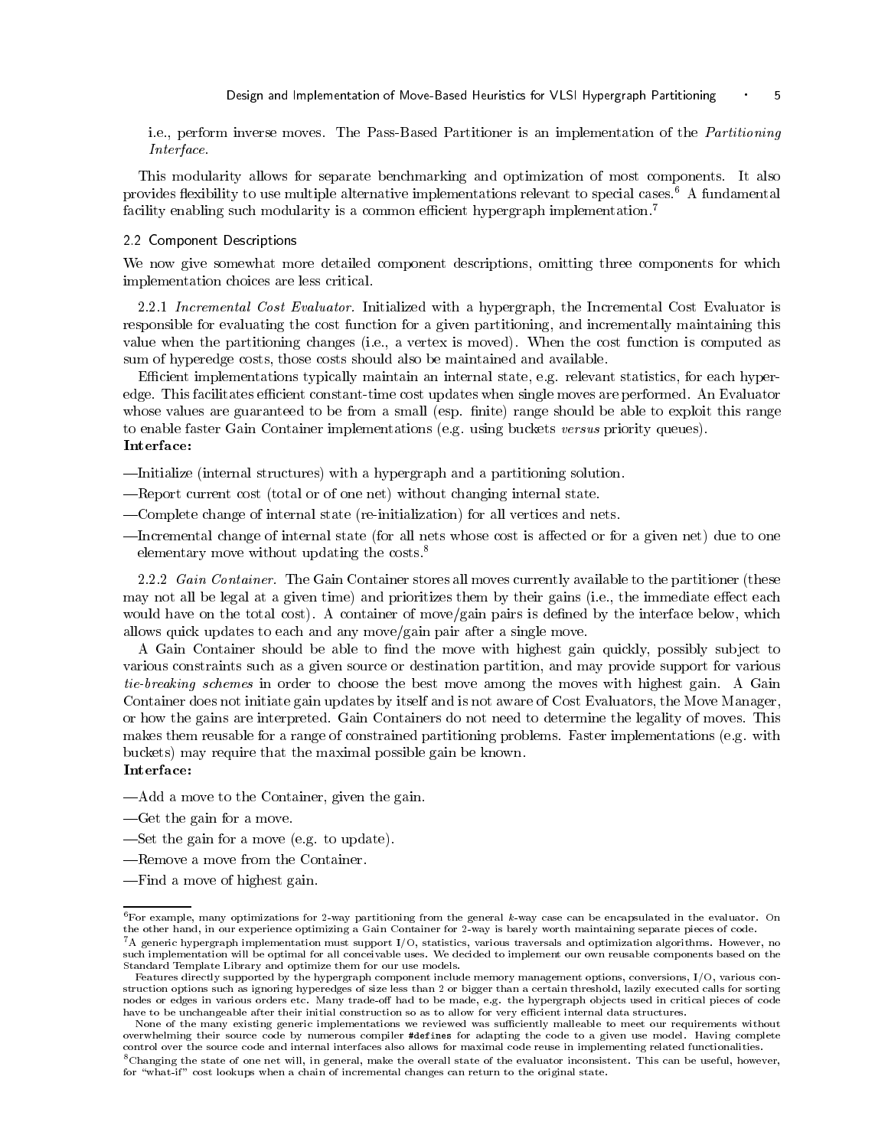i.e., perform inverse moves. The Pass-Based Partitioner is an implementation of the Partitioning Interface.

This modularity allows for separate benchmarking and optimization of most components. It also provides flexibility to use multiple alternative implementations relevant to special cases.<sup>6</sup> A fundamental facility enabling such modularity is a common efficient hypergraph implementation.<sup>7</sup>

#### 2.2 Component Descriptions

We now give somewhat more detailed component descriptions, omitting three components for which implementation choices are less critical.

2.2.1 Incremental Cost Evaluator. Initialized with a hypergraph, the Incremental Cost Evaluator is responsible for evaluating the cost function for a given partitioning, and incrementally maintaining this value when the partitioning changes (i.e., a vertex is moved). When the cost function is computed as sum of hyperedge costs, those costs should also be maintained and available.

Efficient implementations typically maintain an internal state, e.g. relevant statistics, for each hyperedge. This facilitates efficient constant-time cost updates when single moves are performed. An Evaluator whose values are guaranteed to be from a small (esp. finite) range should be able to exploit this range to enable faster Gain Container implementations (e.g. using buckets versus priority queues). Interface:

|Initialize (internal structures) with a hypergraph and a partitioning solution.

- |Report current cost (total or of one net) without changing internal state.
- |Complete change of internal state (re-initialization) for all vertices and nets.
- -Incremental change of internal state (for all nets whose cost is affected or for a given net) due to one elementary move without updating the costs.8

2.2.2 Gain Container. The Gain Container stores all moves currently available to the partitioner (these may not all be legal at a given time) and prioritizes them by their gains (i.e., the immediate effect each would have on the total cost). A container of move/gain pairs is defined by the interface below, which allows quick updates to each and any move/gain pair after a single move.

A Gain Container should be able to find the move with highest gain quickly, possibly subject to various constraints such as a given source or destination partition, and may provide support for various tie-breaking schemes in order to choose the best move among the moves with highest gain. A Gain Container does not initiate gain updates by itself and is not aware of Cost Evaluators, the Move Manager, or how the gains are interpreted. Gain Containers do not need to determine the legality of moves. This makes them reusable for a range of constrained partitioning problems. Faster implementations (e.g. with buckets) may require that the maximal possible gain be known.

- |Add a move to the Container, given the gain.
- |Get the gain for a move.
- $-$ Set the gain for a move (e.g. to update).
- -Remove a move from the Container.
- |Find a move of highest gain.

.5

 $6$ For example, many optimizations for 2-way partitioning from the general k-way case can be encapsulated in the evaluator. On the other hand, in our experience optimizing a Gain Container for 2-way is barely worth maintaining separate pieces of code.

<sup>7</sup>A generic hypergraph implementation must support I/O, statistics, various traversals and optimization algorithms. However, no such implementation will be optimal for all conceivable uses. We decided to implement our own reusable components based on the Standard Template Library and optimize them for our use models.

Features directly supported by the hypergraph component include memory management options, conversions, I/O, various construction options such as ignoring hyperedges of size less than 2 or bigger than a certain threshold, lazily executed calls for sorting nodes or edges in various orders etc. Many trade-off had to be made, e.g. the hypergraph objects used in critical pieces of code have to be unchangeable after their initial construction so as to allow for very efficient internal data structures.

None of the many existing generic implementations we reviewed was sufficiently malleable to meet our requirements without overwhelming their source code by numerous compiler #defines for adapting the code to a given use model. Having complete control over the source code and internal interfaces also allows for maximal code reuse in implementing related functionalities.

<sup>8</sup>Changing the state of one net will, in general, make the overall state of the evaluator inconsistent. This can be useful, however, for "what-if" cost lookups when a chain of incremental changes can return to the original state.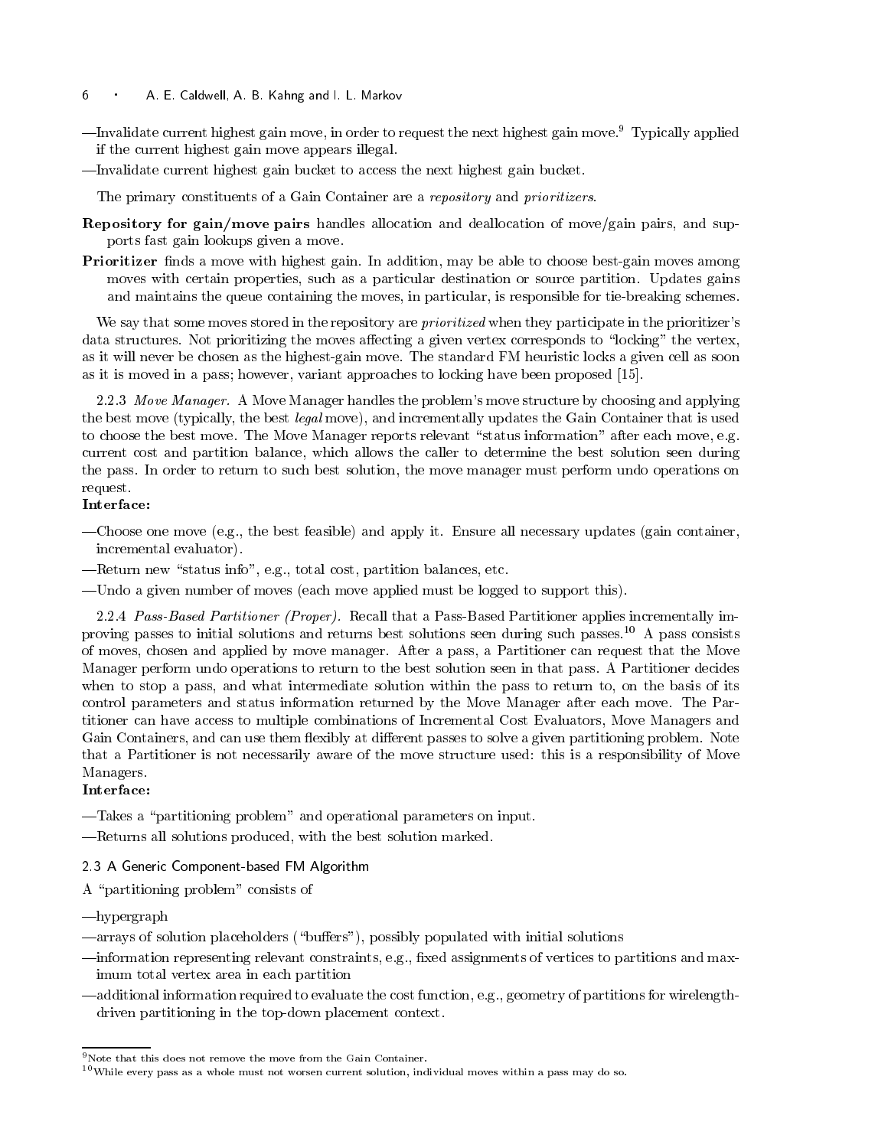#### 6 **· A. E. Caldwell, A. B. Kahng and I. L. Markov**

- $\text{I}-$ Invalidate current highest gain move, in order to request the next highest gain move.<sup>9</sup> Typically applied if the current highest gain move appears illegal.
- |Invalidate current highest gain bucket to access the next highest gain bucket.

The primary constituents of a Gain Container are a repository and prioritizers.

- Repository for gain/move pairs handles allocation and deallocation of move/gain pairs, and supports fast gain lookups given a move.
- Prioritizer finds a move with highest gain. In addition, may be able to choose best-gain moves among moves with certain properties, such as a particular destination or source partition. Updates gains and maintains the queue containing the moves, in particular, is responsible for tie-breaking schemes.

We say that some moves stored in the repository are *prioritized* when they participate in the prioritizer's data structures. Not prioritizing the moves affecting a given vertex corresponds to "locking" the vertex, as it will never be chosen as the highest-gain move. The standard FM heuristic locks a given cell as soon as it is moved in a pass; however, variant approaches to locking have been proposed [15].

2.2.3 Move Manager. A Move Manager handles the problem's move structure by choosing and applying the best move (typically, the best *legal* move), and incrementally updates the Gain Container that is used to choose the best move. The Move Manager reports relevant "status information" after each move, e.g. current cost and partition balance, which allows the caller to determine the best solution seen during the pass. In order to return to such best solution, the move manager must perform undo operations on request.

#### Interface:

- |Choose one move (e.g., the best feasible) and apply it. Ensure all necessary updates (gain container, incremental evaluator).
- $\rightarrow$ Return new "status info", e.g., total cost, partition balances, etc.
- |Undo a given number of moves (each move applied must be logged to support this).

2.2.4 Pass-Based Partitioner (Proper). Recall that a Pass-Based Partitioner applies incrementally improving passes to initial solutions and returns best solutions seen during such passes.10 A pass consists of moves, chosen and applied by move manager. After a pass, a Partitioner can request that the Move Manager perform undo operations to return to the best solution seen in that pass. A Partitioner decides when to stop a pass, and what intermediate solution within the pass to return to, on the basis of its control parameters and status information returned by the Move Manager after each move. The Partitioner can have access to multiple combinations of Incremental Cost Evaluators, Move Managers and Gain Containers, and can use them flexibly at different passes to solve a given partitioning problem. Note that a Partitioner is not necessarily aware of the move structure used: this is a responsibility of Move Managers.

### Interface:

 $-Takes a$  "partitioning problem" and operational parameters on input.

-Returns all solutions produced, with the best solution marked.

## 2.3 A Generic Component-based FM Algorithm

A "partitioning problem" consists of

## $-\hbox{hypergraph}$

- $\equiv$  arrays of solution placeholders ("buffers"), possibly populated with initial solutions
- $\rightarrow$  information representing relevant constraints, e.g., fixed assignments of vertices to partitions and maximum total vertex area in each partition
- $\alpha$ dditional information required to evaluate the cost function, e.g., geometry of partitions for wirelengthdriven partitioning in the top-down placement context.

<sup>9</sup>Note that this does not remove the move from the Gain Container.

 $^{10}\rm{While}$  every pass as a whole must not worsen current solution, individual moves within a pass may do so.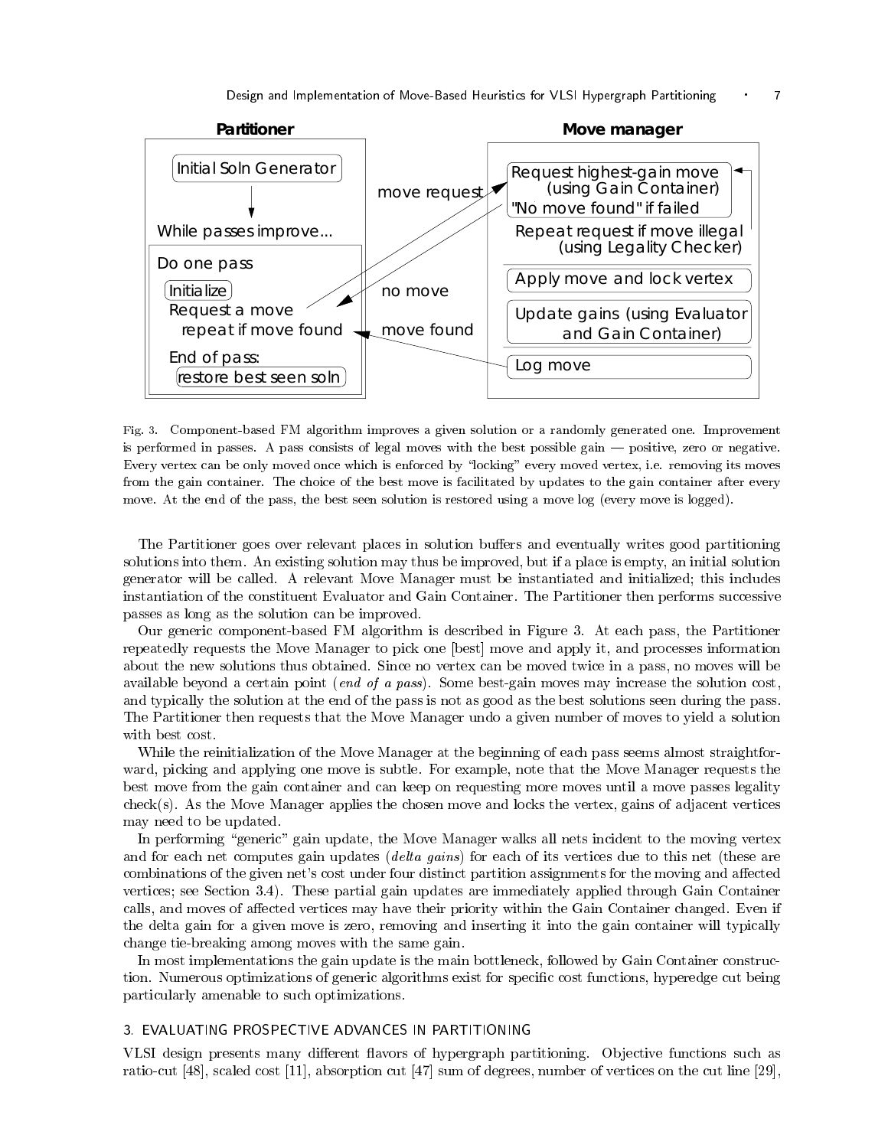Design and Implementation of Move-Based Heuristics for VLSI Hypergraph Partitioning 7

 $\overline{7}$ 



Fig. 3. Component-based FM algorithm improves a given solution or a randomly generated one. Improvement is performed in passes. A pass consists of legal moves with the best possible gain  $-$  positive, zero or negative. Every vertex can be only moved once which is enforced by \locking" every moved vertex, i.e. removing its moves from the gain container. The choice of the best move is facilitated by updates to the gain container after every move. At the end of the pass, the best seen solution is restored using a move log (every move is logged).

The Partitioner goes over relevant places in solution buffers and eventually writes good partitioning solutions into them. An existing solution may thus be improved, but if a place is empty, an initial solution generator will be called. A relevant Move Manager must be instantiated and initialized; this includes instantiation of the constituent Evaluator and Gain Container. The Partitioner then performs successive passes as long as the solution can be improved.

Our generic component-based FM algorithm is described in Figure 3.At each pass, the Partitioner repeatedly requests the Move Manager to pick one [best] move and apply it, and processes information about the new solutions thus obtained. Since no vertex can be moved twice in a pass, no moves will be available beyond a certain point (end of <sup>a</sup> pass). Some best-gain moves may increase the solution cost, and typically the solution at the end of the pass is not as good as the best solutions seen during the pass. The Partitioner then requests that the Move Manager undo a given number of moves to yield a solution with best cost.

While the reinitialization of the Move Manager at the beginning of each pass seems almost straightforward, picking and applying one move is subtle. For example, note that the Move Manager requests the best move from the gain container and can keep on requesting more moves until a move passes legality check(s). As the Move Manager applies the chosen move and locks the vertex, gains of adjacent vertices may need to be updated.

In performing "generic" gain update, the Move Manager walks all nets incident to the moving vertex and for each net computes gain updates *(delta gains)* for each of its vertices due to this net *(these are* combinations of the given net's cost under four distinct partition assignments for the moving and affected vertices; see Section 3.4). These partial gain updates are immediately applied through Gain Container calls, and moves of affected vertices may have their priority within the Gain Container changed. Even if the delta gain for a given move is zero, removing and inserting it into the gain container will typically change tie-breaking among moves with the same gain.

In most implementations the gain update is the main bottleneck, followed by Gain Container construction. Numerous optimizations of generic algorithms exist for specific cost functions, hyperedge cut being particularly amenable to such optimizations.

#### 3. EVALUATING PROSPECTIVE ADVANCES IN PARTITIONING

VLSI design presents many different flavors of hypergraph partitioning. Objective functions such as ratio-cut [48], scaled cost [11], absorption cut [47] sum of degrees, number of vertices on the cut line [29],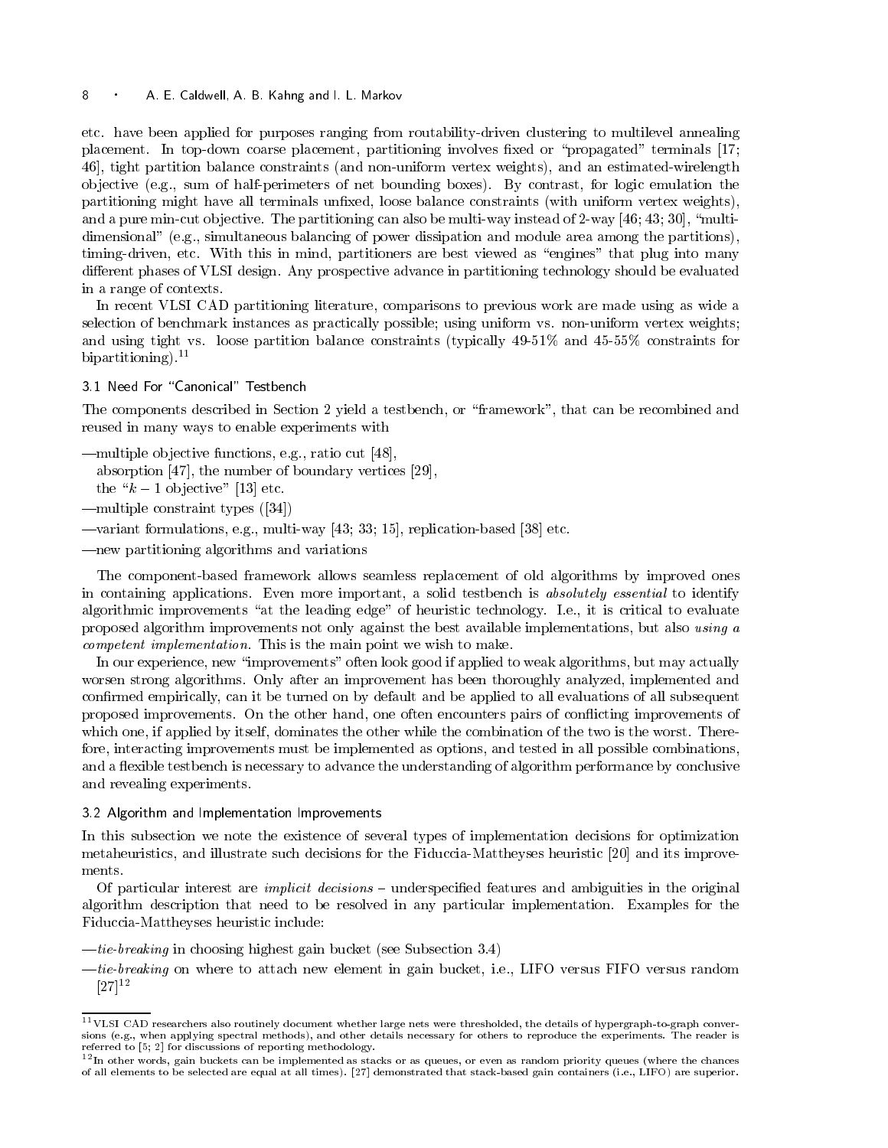#### 8 8 A. E. Caldwell, A. B. Kahng and I. L. Markov

etc. have been applied for purposes ranging from routability-driven clustering to multilevel annealing placement. In top-down coarse placement, partitioning involves fixed or "propagated" terminals  $[17;$ 46], tight partition balance constraints (and non-uniform vertex weights), and an estimated-wirelength ob jective (e.g., sum of half-perimeters of net bounding boxes). By contrast, for logic emulation the partitioning might have all terminals unfixed, loose balance constraints (with uniform vertex weights), and a pure min-cut objective. The partitioning can also be multi-way instead of  $2$ -way [46; 43; 30], "multidimensional" (e.g., simultaneous balancing of power dissipation and module area among the partitions), timing-driven, etc. With this in mind, partitioners are best viewed as "engines" that plug into many different phases of VLSI design. Any prospective advance in partitioning technology should be evaluated in a range of contexts.

In recent VLSI CAD partitioning literature, comparisons to previous work are made using as wide a selection of benchmark instances as practically possible; using uniform vs. non-uniform vertex weights; and using tight vs. loose partition balance constraints (typically  $49-51\%$  and  $45-55\%$  constraints for bipartitioning).<sup>11</sup>

#### 3.1 Need For \Canonical" Testbench

The components described in Section 2 yield a testbench, or "framework", that can be recombined and reused in many ways to enable experiments with

- |multiple ob jective functions, e.g., ratio cut [48],
- absorption [47], the number of boundary vertices [29],
- the " $k 1$  objective" [13] etc.
- |multiple constraint types ([34])
- $\rightarrow$  variant formulations, e.g., multi-way [43; 33; 15], replication-based [38] etc.
- $-$ new partitioning algorithms and variations

The component-based framework allows seamless replacement of old algorithms by improved ones in containing applications. Even more important, a solid testbench is absolutely essential to identify algorithmic improvements "at the leading edge" of heuristic technology. I.e., it is critical to evaluate proposed algorithm improvements not only against the best available implementations, but also using<sup>a</sup> competent implementation. This is the main point we wish to make.

In our experience, new \improvements" often look good if applied to weak algorithms, but may actually worsen strong algorithms. Only after an improvement has been thoroughly analyzed, implemented and confirmed empirically, can it be turned on by default and be applied to all evaluations of all subsequent proposed improvements. On the other hand, one often encounters pairs of con
icting improvements of which one, if applied by itself, dominates the other while the combination of the two is the worst. Therefore, interacting improvements must be implemented as options, and tested in all possible combinations, and a flexible testbench is necessary to advance the understanding of algorithm performance by conclusive and revealing experiments.

#### 3.2 Algorithm and Implementation Improvements

In this subsection we note the existence of several types of implementation decisions for optimization metaheuristics, and illustrate such decisions for the Fiduccia-Mattheyses heuristic [20] and its improvements.

Of particular interest are *implicit decisions*  $-$  underspecified features and ambiguities in the original algorithm description that need to be resolved in any particular implementation. Examples for the Fiduccia-Mattheyses heuristic include:

 $\text{--}tie\text{-}breaking$  in choosing highest gain bucket (see Subsection 3.4)

 $}-tie-breaking$  on where to attach new element in gain bucket, i.e., LIFO versus FIFO versus random  $[27]^{12}$ 

<sup>11</sup>VLSI CAD researchers also routinely document whether large nets were thresholded, the details of hypergraph-to-graph conver sions (e.g., when applying spectral methods), and other details necessary for others to reproduce the experiments. The reader is referred to [5; 2] for discussions of reporting methodology.

 $12$ In other words, gain buckets can be implemented as stacks or as queues, or even as random priority queues (where the chances of all elements to be selected are equal at all times). [27] demonstrated that stack-based gain containers (i.e., LIFO) are superior. of all elements to be selected are equal at all times). [27] demonstrated that stack-based gain containers (i.e., LIFO) are superior.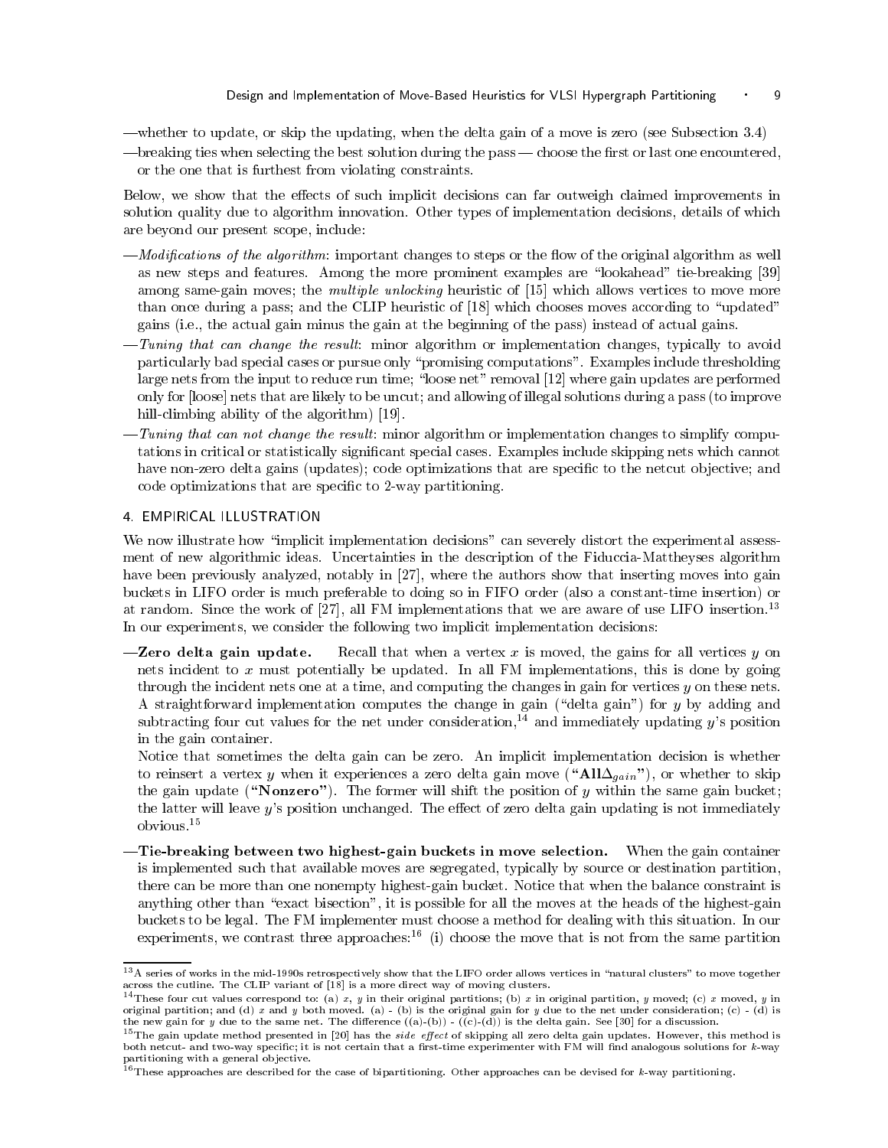9

- —whether to update, or skip the updating, when the delta gain of a move is zero (see Subsection 3.4)
- $-b$ reaking ties when selecting the best solution during the pass  $-c$  choose the first or last one encountered, or the one that is furthest from violating constraints.

Below, we show that the effects of such implicit decisions can far outweigh claimed improvements in solution quality due to algorithm innovation. Other types of implementation decisions, details of which are beyond our present scope, include:

- $-Modifications of the algorithm: important changes to steps or the flow of the original algorithm as well.$ as new steps and features. Among the more prominent examples are "lookahead" tie-breaking [39] among same-gain moves; the *multiple unlocking* heuristic of [15] which allows vertices to move more than once during a pass; and the CLIP heuristic of [18] which chooses moves according to "updated" gains (i.e., the actual gain minus the gain at the beginning of the pass) instead of actual gains.
- $-Tuning$  that can change the result: minor algorithm or implementation changes, typically to avoid particularly bad special cases or pursue only \promising computations". Examples include thresholding large nets from the input to reduce run time; "loose net" removal [12] where gain updates are performed only for [loose] nets that are likely to be uncut; and allowing of illegal solutions during a pass (to improve hill-climbing ability of the algorithm) [19].
- $-Tuning that can not change the result: minor algorithm or implementation changes to simplify compu$ tations in critical or statistically signicant special cases. Examples include skipping nets which cannot have non-zero delta gains (updates); code optimizations that are specific to the netcut objective; and code optimizations that are specific to 2-way partitioning.

#### 4. EMPIRICAL ILLUSTRATION

We now illustrate how "implicit implementation decisions" can severely distort the experimental assessment of new algorithmic ideas. Uncertainties in the description of the Fiduccia-Mattheyses algorithm have been previously analyzed, notably in [27], where the authors show that inserting moves into gain buckets in LIFO order is much preferable to doing so in FIFO order (also a constant-time insertion) or at random. Since the work of [27], all FM implementations that we are aware of use LIFO insertion.13 In our experiments, we consider the following two implicit implementation decisions:

- -Zero delta gain update. Recall that when a vertex x is moved, the gains for all vertices y on nets incident to  $x$  must potentially be updated. In all FM implementations, this is done by going through the incident nets one at a time, and computing the changes in gain for vertices y on these nets. A straightforward implementation computes the change in gain ("delta gain") for  $y$  by adding and subtracting four cut values for the net under consideration,<sup>14</sup> and immediately updating y's position in the gain container.
	- Notice that sometimes the delta gain can be zero. An implicit implementation decision is whether to reinsert a vertex y when it experiences a zero delta gain move ("All $\Delta_{gain}$ "), or whether to skip the gain update ("Nonzero"). The former will shift the position of y within the same gain bucket; the latter will leave  $y$ 's position unchanged. The effect of zero delta gain updating is not immediately obvious.<sup>15</sup>
- $\overline{-}$ Tie-breaking between two highest-gain buckets in move selection. When the gain container is implemented such that available moves are segregated, typically by source or destination partition, there can be more than one nonempty highest-gain bucket. Notice that when the balance constraint is anything other than "exact bisection", it is possible for all the moves at the heads of the highest-gain buckets to be legal. The FM implementer must choose a method for dealing with this situation. In our experiments, we contrast three approaches:<sup>16</sup> (i) choose the move that is not from the same partition

 $^{-1}$  A series of works in the mid-1990s retrospectively show that the LIFO order allows vertices in "natural clusters" to move together across the cutline. The CLIP variant of [18] is a more direct way of moving clusters.

<sup>&</sup>lt;sup>14</sup> These four cut values correspond to: (a) x, y in their original partitions; (b) x in original partition, y moved; (c) x moved, y in original partition; and (d) x and y both moved. (a) - (b) is the original gain for y due to the net under consideration; (c) - (d) is the new gain for y due to the same net. The difference  $((a)-(b)) - ((c)-(d))$  is the delta gain. See [30] for a discussion.

 $15$ The gain update method presented in [20] has the side effect of skipping all zero delta gain updates. However, this method is both netcut- and two-way specific; it is not certain that a first-time experimenter with FM will find analogous solutions for k-way partitioning with a general objective.

 $16$ These approaches are described for the case of bipartitioning. Other approaches can be devised for k-way partitioning.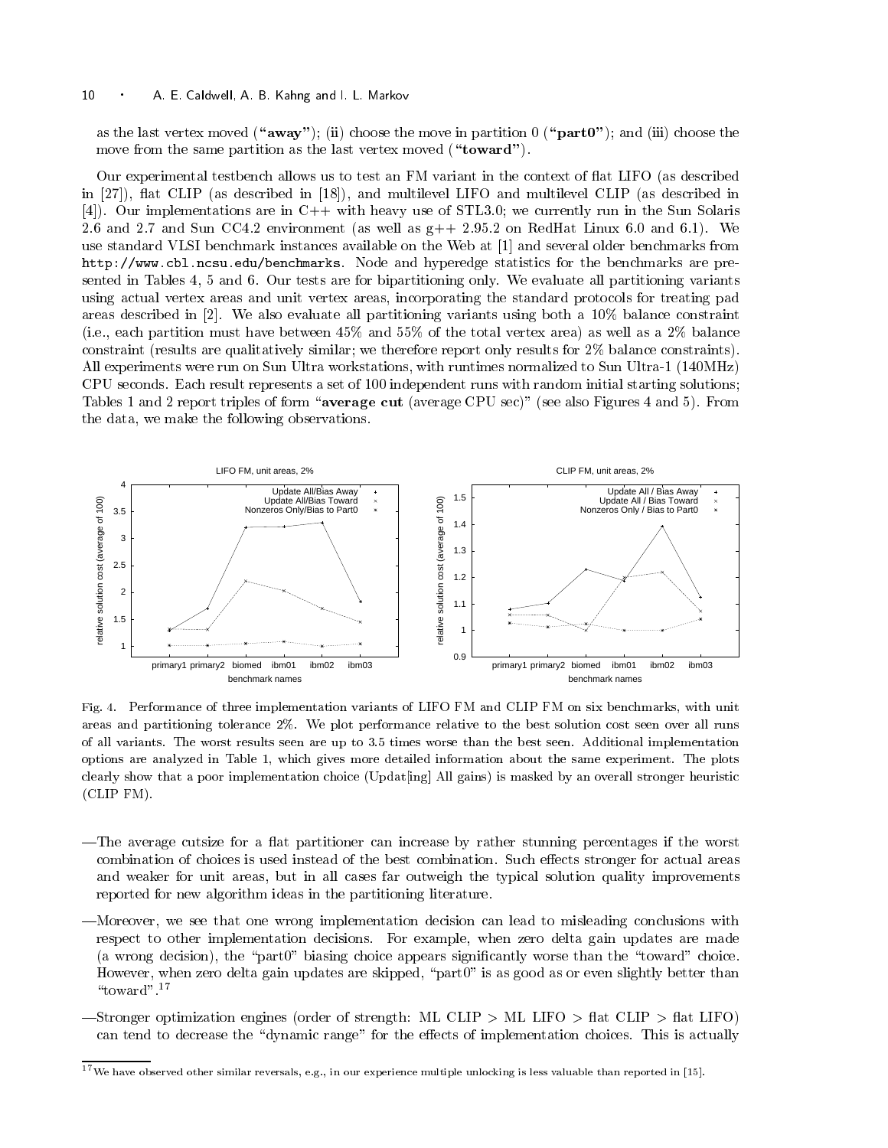as the last vertex moved (" $\mathbf{away"}$ ); (ii) choose the move in partition 0 (" $\mathbf{part0"}$ ); and (iii) choose the move from the same partition as the last vertex moved  $(\text{``toward''}).$ 

Our experimental testbench allows us to test an FM variant in the context of flat LIFO (as described in [27]), flat CLIP (as described in [18]), and multilevel LIFO and multilevel CLIP (as described in [4]). Our implementations are in C++ with heavy use of STL3.0; we currently run in the Sun Solaris 2.6 and 2.7 and Sun CC4.2 environment (as well as  $g++ 2.95.2$  on RedHat Linux 6.0 and 6.1). We use standard VLSI benchmark instances available on the Web at [1] and several older benchmarks from http://www.cbl.ncsu.edu/benchmarks. Node and hyperedge statistics for the benchmarks are presented in Tables 4, 5 and 6. Our tests are for bipartitioning only. We evaluate all partitioning variants using actual vertex areas and unit vertex areas, incorporating the standard protocols for treating pad areas described in [2]. We also evaluate all partitioning variants using both a 10% balance constraint (i.e., each partition must have between  $45\%$  and  $55\%$  of the total vertex area) as well as a  $2\%$  balance constraint (results are qualitatively similar; we therefore report only results for 2% balance constraints). All experiments were run on Sun Ultra workstations, with runtimes normalized to Sun Ultra-1 (140MHz) CPU seconds. Each result represents a set of 100 independent runs with random initial starting solutions; Tables 1 and 2 report triples of form "**average cut** (average CPU sec)" (see also Figures 4 and 5). From the data, we make the following observations.



Fig. 4. Performance of three implementation variants of LIFO FM and CLIP FM on six benchmarks, with unit areas and partitioning tolerance 2%. We plot performance relative to the best solution cost seen over all runs of all variants. The worst results seen are up to 3:5 times worse than the best seen. Additional implementation options are analyzed in Table 1, which gives more detailed information about the same experiment. The plots clearly show that a poor implementation choice (Updat[ing] All gains) is masked by an overall stronger heuristic (CLIP FM).

- The average cutsize for a flat partitioner can increase by rather stunning percentages if the worst combination of choices is used instead of the best combination. Such effects stronger for actual areas and weaker for unit areas, but in all cases far outweigh the typical solution quality improvements reported for new algorithm ideas in the partitioning literature.
- |Moreover, we see that one wrong implementation decision can lead to misleading conclusions with respect to other implementation decisions. For example, when zero delta gain updates are made  $(a \text{ wrong decision})$ , the "part0" biasing choice appears significantly worse than the "toward" choice. However, when zero delta gain updates are skipped, "part0" is as good as or even slightly better than " $\text{toward}$ ".<sup>17</sup>
- $-$ Stronger optimization engines (order of strength: ML CLIP > ML LIFO > flat CLIP > flat LIFO) can tend to decrease the "dynamic range" for the effects of implementation choices. This is actually

 $17$ We have observed other similar reversals, e.g., in our experience multiple unlocking is less valuable than reported in [15].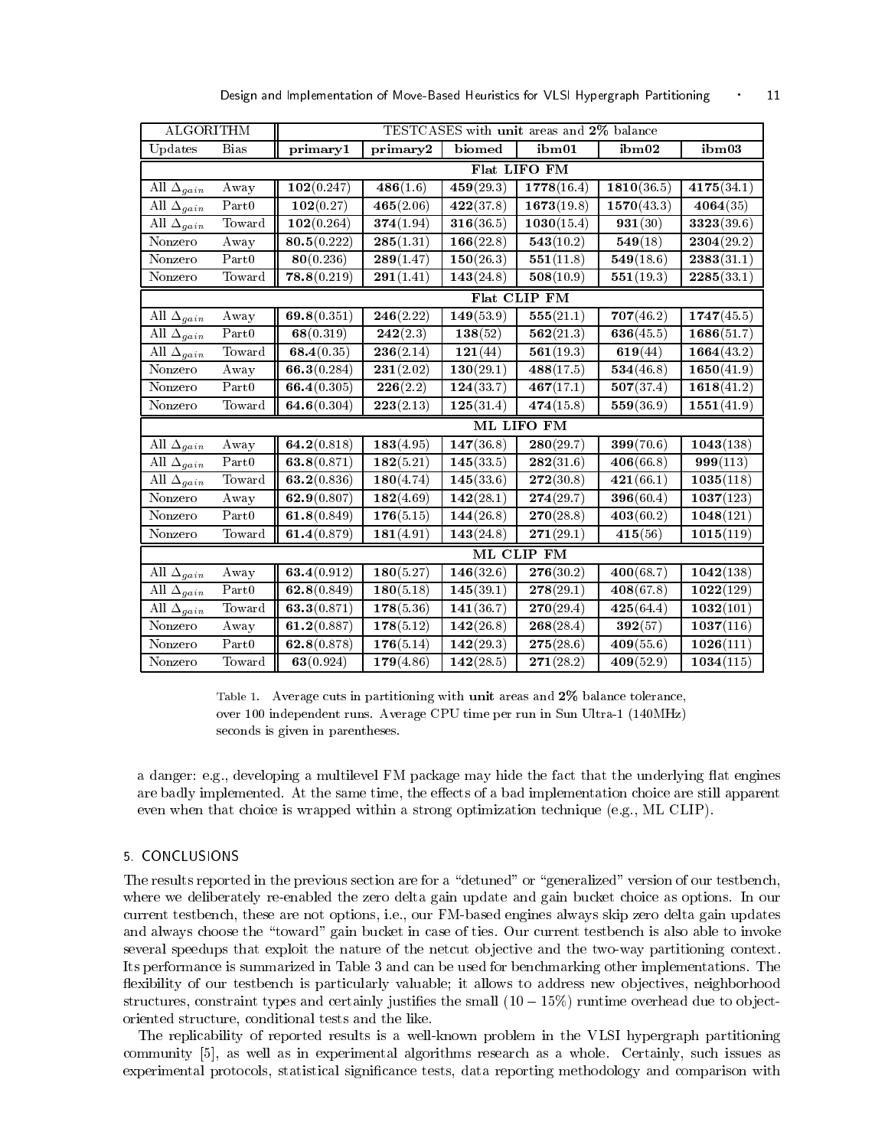| ALGORITHM              |                                | TESTCASES with unit areas and 2% balance |           |           |                         |            |            |  |  |  |
|------------------------|--------------------------------|------------------------------------------|-----------|-----------|-------------------------|------------|------------|--|--|--|
| Updates<br><b>Bias</b> |                                | primary1                                 | primary2  | biomed    | ibm01                   | ibm02      | ibm03      |  |  |  |
|                        |                                | Flat LIFO FM                             |           |           |                         |            |            |  |  |  |
| All $\Delta_{gain}$    | Away                           | 102(0.247)                               | 486(1.6)  | 459(29.3) | 1778(16.4)              | 1810(36.5) | 4175(34.1) |  |  |  |
| All $\Delta_{gain}$    | Part0                          | 102(0.27)                                | 465(2.06) | 422(37.8) | 1673(19.8)              | 1570(43.3) | 4064(35)   |  |  |  |
| All $\Delta_{gain}$    | Toward                         | 102(0.264)                               | 374(1.94) | 316(36.5) | $1030(15.\overline{4})$ | 931(30)    | 3323(39.6) |  |  |  |
| Nonzero                | Away                           | 80.5(0.222)                              | 285(1.31) | 166(22.8) | 543(10.2)               | 549(18)    | 2304(29.2) |  |  |  |
| Nonzero                | Part0                          | 80(0.236)                                | 289(1.47) | 150(26.3) | 551(11.8)               | 549(18.6)  | 2383(31.1) |  |  |  |
| Nonzero                | Toward                         | 78.8(0.219)                              | 291(1.41) | 143(24.8) | 508(10.9)               | 551(19.3)  | 2285(33.1) |  |  |  |
|                        |                                |                                          |           |           | Flat CLIP FM            |            |            |  |  |  |
| All $\Delta_{gain}$    | Away                           | 69.8 $(0.351)$                           | 246(2.22) | 149(53.9) | 555(21.1)               | 707(46.2)  | 1747(45.5) |  |  |  |
| All $\Delta_{gain}$    | $\ensuremath{\mathrm{Part}} 0$ | 68(0.319)                                | 242(2.3)  | 138(52)   | 562(21.3)               | 636(45.5)  | 1686(51.7) |  |  |  |
| All $\Delta_{gain}$    | Toward                         | 68.4 $(0.35)$                            | 236(2.14) | 121(44)   | 561(19.3)               | 619(44)    | 1664(43.2) |  |  |  |
| Nonzero                | Away                           | 66.3(0.284)                              | 231(2.02) | 130(29.1) | 488(17.5)               | 534(46.8)  | 1650(41.9) |  |  |  |
| $\rm Nonzero$          | Part0                          | 66.4 $(0.305)$                           | 226(2.2)  | 124(33.7) | 467(17.1)               | 507(37.4)  | 1618(41.2) |  |  |  |
| Nonzero                | Toward                         | 64.6(0.304)                              | 223(2.13) | 125(31.4) | 474(15.8)               | 559(36.9)  | 1551(41.9) |  |  |  |
|                        |                                |                                          |           |           | ML LIFO FM              |            |            |  |  |  |
| All $\Delta_{gain}$    | Away                           | 64.2(0.818)                              | 183(4.95) | 147(36.8) | 280(29.7)               | 399(70.6)  | 1043(138)  |  |  |  |
| All $\Delta_{gain}$    | Part0                          | 63.8(0.871)                              | 182(5.21) | 145(33.5) | 282(31.6)               | 406(66.8)  | 999(113)   |  |  |  |
| All $\Delta_{gain}$    | Toward                         | 63.2(0.836)                              | 180(4.74) | 145(33.6) | 272(30.8)               | 421(66.1)  | 1035(118)  |  |  |  |
| Nonzero                | Away                           | 62.9(0.807)                              | 182(4.69) | 142(28.1) | 274(29.7)               | 396(60.4)  | 1037(123)  |  |  |  |
| Nonzero                | Part <sub>0</sub>              | 61.8(0.849)                              | 176(5.15) | 144(26.8) | 270(28.8)               | 403(60.2)  | 1048(121)  |  |  |  |
| Nonzero                | Toward                         | 61.4(0.879)                              | 181(4.91) | 143(24.8) | 271(29.1)               | 415(56)    | 1015(119)  |  |  |  |
|                        |                                |                                          |           |           | ML CLIP FM              |            |            |  |  |  |
| All $\Delta_{gain}$    | Away                           | 63.4(0.912)                              | 180(5.27) | 146(32.6) | 276(30.2)               | 400(68.7)  | 1042(138)  |  |  |  |
| All $\Delta_{gain}$    | Part0                          | 62.8(0.849)                              | 180(5.18) | 145(39.1) | 278(29.1)               | 408(67.8)  | 1022(129)  |  |  |  |
| All $\Delta_{gain}$    | Toward                         | 63.3(0.871)                              | 178(5.36) | 141(36.7) | 270(29.4)               | 425(64.4)  | 1032(101)  |  |  |  |
| Nonzero                | Away                           | 61.2 $(0.887)$                           | 178(5.12) | 142(26.8) | 268(28.4)               | 392(57)    | 1037(116)  |  |  |  |
| $\rm Nonzero$          | Part0                          | 62.8(0.878)                              | 176(5.14) | 142(29.3) | 275(28.6)               | 409(55.6)  | 1026(111)  |  |  |  |
| Nonzero                | Toward                         | 63(0.924)                                | 179(4.86) | 142(28.5) | 271(28.2)               | 409(52.9)  | 1034(115)  |  |  |  |

Table 1. Average cuts in partitioning with unit areas and 2% balance tolerance, over 100 independent runs. Average CPU time per run in Sun Ultra-1 (140MHz) seconds is given in parentheses.

a danger: e.g., developing a multilevel FM package may hide the fact that the underlying flat engines are badly implemented. At the same time, the effects of a bad implementation choice are still apparent even when that choice is wrapped within a strong optimization technique (e.g., ML CLIP).

### 5. CONCLUSIONS

The results reported in the previous section are for a "detuned" or "generalized" version of our testbench, where we deliberately re-enabled the zero delta gain update and gain bucket choice as options. In our current testbench, these are not options, i.e., our FM-based engines always skip zero delta gain updates and always choose the "toward" gain bucket in case of ties. Our current testbench is also able to invoke several speedups that exploit the nature of the netcut ob jective and the two-way partitioning context. Its performance is summarized in Table 3 and can be used for benchmarking other implementations. The flexibility of our testbench is particularly valuable; it allows to address new objectives, neighborhood structures, constraint types and certainly justifies the small  $(10-15\%)$  runtime overhead due to objectoriented structure, conditional tests and the like.

The replicability of reported results is a well-known problem in the VLSI hypergraph partitioning community [5], as well as in experimental algorithms research as a whole. Certainly, such issues as experimental protocols, statistical signicance tests, data reporting methodology and comparison with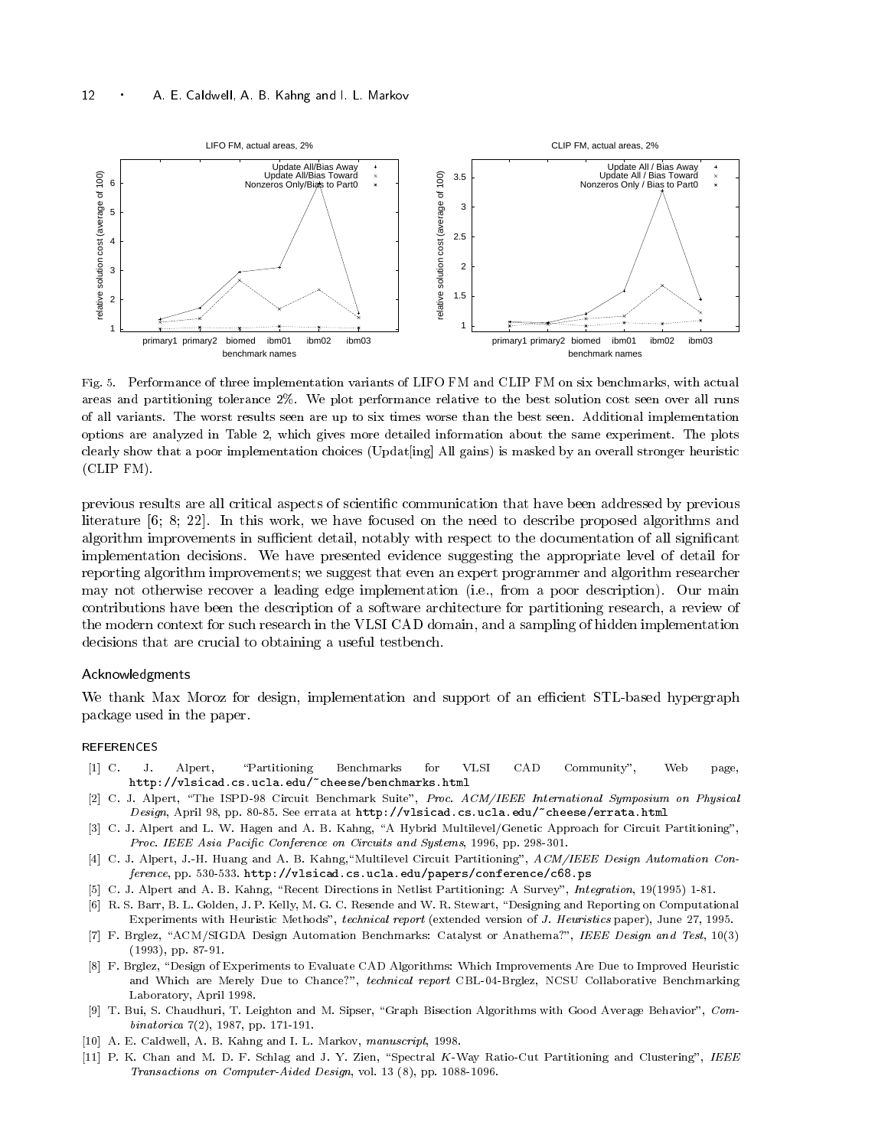

Fig. 5. Performance of three implementation variants of LIFO FM and CLIP FM on six benchmarks, with actual areas and partitioning tolerance 2%. We plot performance relative to the best solution cost seen over all runs of all variants. The worst results seen are up to six times worse than the best seen. Additional implementation options are analyzed in Table 2, which gives more detailed information about the same experiment. The plots clearly show that a poor implementation choices (Updat[ing] All gains) is masked by an overall stronger heuristic (CLIP FM).

previous results are all critical aspects of scientic communication that have been addressed by previous literature [6; 8; 22]. In this work, we have focused on the need to describe proposed algorithms and algorithm improvements in sufficient detail, notably with respect to the documentation of all significant implementation decisions. We have presented evidence suggesting the appropriate level of detail for reporting algorithm improvements; we suggest that even an expert programmer and algorithm researcher may not otherwise recover a leading edge implementation (i.e., from a poor description). Our main contributions have been the description of a software architecture for partitioning research, a review of the modern context for such research in the VLSI CAD domain, and a sampling of hidden implementation decisions that are crucial to obtaining a useful testbench.

#### Acknowledgments

We thank Max Moroz for design, implementation and support of an efficient STL-based hypergraph package used in the paper.

#### REFERENCES

- [1] C. J. Alpert, \Partitioning Benchmarks for VLSI CAD Community", Web page, http://vlsicad.cs.ucla.edu/~cheese/benchmarks.html
- [2] C. J. Alpert, "The ISPD-98 Circuit Benchmark Suite", Proc. ACM/IEEE International Symposium on Physical Design, April 98, pp. 80-85. See errata at http://vlsicad.cs.ucla.edu/~cheese/errata.html
- [3] C. J. Alpert and L. W. Hagen and A. B. Kahng, "A Hybrid Multilevel/Genetic Approach for Circuit Partitioning", Proc. IEEE Asia Pacific Conference on Circuits and Systems, 1996, pp. 298-301.
- [4] C. J. Alpert, J.-H. Huang and A. B. Kahng, "Multilevel Circuit Partitioning", ACM/IEEE Design Automation Conference, pp. 530-533. http://vlsicad.cs.ucla.edu/papers/conference/c68.ps
- [5] C. J. Alpert and A. B. Kahng, "Recent Directions in Netlist Partitioning: A Survey", Integration, 19(1995) 1-81.
- [6] R. S. Barr, B. L. Golden, J. P. Kelly, M. G. C. Resende and W. R. Stewart, \Designing and Reporting on Computational Experiments with Heuristic Methods", technical report (extended version of J. Heuristics paper), June 27, 1995.
- [7] F. Brglez, "ACM/SIGDA Design Automation Benchmarks: Catalyst or Anathema?", IEEE Design and Test, 10(3) (1993), pp. 87-91.
- [8] F. Brglez, "Design of Experiments to Evaluate CAD Algorithms: Which Improvements Are Due to Improved Heuristic and Which are Merely Due to Chance?", technical report CBL-04-Brglez, NCSU Collaborative Benchmarking Laboratory, April 1998.
- [9] T. Bui, S. Chaudhuri, T. Leighton and M. Sipser, "Graph Bisection Algorithms with Good Average Behavior", Combinatorica 7(2), 1987, pp. 171-191.
- [10] A. E. Caldwell, A. B. Kahng and I. L. Markov, manuscript, 1998.
- [11] P. K. Chan and M. D. F. Schlag and J. Y. Zien, "Spectral K-Way Ratio-Cut Partitioning and Clustering", IEEE Transactions on Computer-Aided Design, vol. 13 (8), pp. 1088-1096.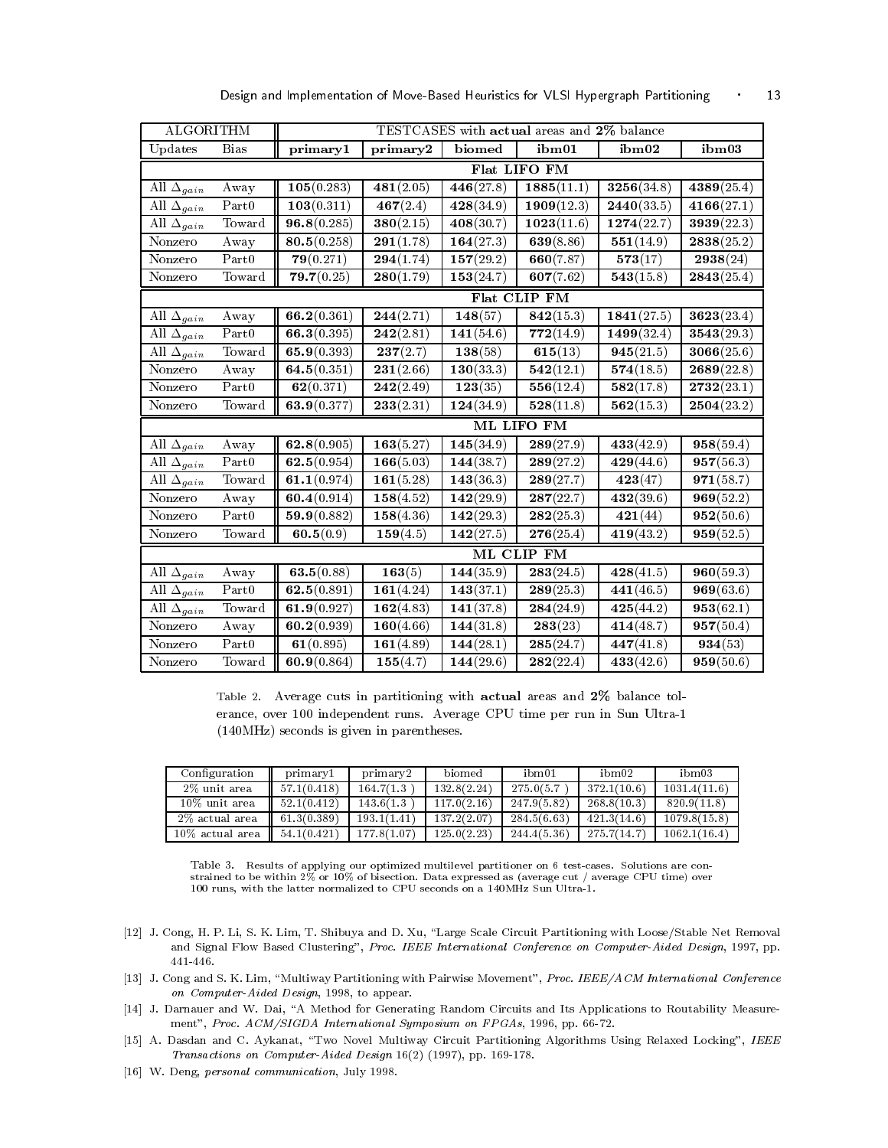| <b>ALGORITHM</b>    |                               | TESTCASES with actual areas and 2% balance |           |           |              |            |            |  |  |  |
|---------------------|-------------------------------|--------------------------------------------|-----------|-----------|--------------|------------|------------|--|--|--|
| Updates             | <b>Bias</b>                   | primary1                                   | primary2  | biomed    | ibm01        | ibm02      | ibm03      |  |  |  |
|                     |                               |                                            |           |           | Flat LIFO FM |            |            |  |  |  |
| All $\Delta_{gain}$ | Away                          | 105(0.283)                                 | 481(2.05) | 446(27.8) | 1885(11.1)   | 3256(34.8) | 4389(25.4) |  |  |  |
| All $\Delta_{gain}$ | $\overline{\mathrm{Part}}{}0$ | 103(0.311)                                 | 467(2.4)  | 428(34.9) | 1909(12.3)   | 2440(33.5) | 4166(27.1) |  |  |  |
| All $\Delta_{gain}$ | Toward                        | 96.8(0.285)                                | 380(2.15) | 408(30.7) | 1023(11.6)   | 1274(22.7) | 3939(22.3) |  |  |  |
| Nonzero             | Away                          | 80.5(0.258)                                | 291(1.78) | 164(27.3) | 639(8.86)    | 551(14.9)  | 2838(25.2) |  |  |  |
| Nonzero             | Part0                         | 79(0.271)                                  | 294(1.74) | 157(29.2) | 660(7.87)    | 573(17)    | 2938(24)   |  |  |  |
| Nonzero             | Toward                        | 79.7(0.25)                                 | 280(1.79) | 153(24.7) | 607(7.62)    | 543(15.8)  | 2843(25.4) |  |  |  |
|                     |                               |                                            |           |           | Flat CLIP FM |            |            |  |  |  |
| All $\Delta_{gain}$ | Away                          | 66.2(0.361)                                | 244(2.71) | 148(57)   | 842(15.3)    | 1841(27.5) | 3623(23.4) |  |  |  |
| All $\Delta_{gain}$ | Part0                         | 66.3(0.395)                                | 242(2.81) | 141(54.6) | 772(14.9)    | 1499(32.4) | 3543(29.3) |  |  |  |
| All $\Delta_{gain}$ | Toward                        | 65.9(0.393)                                | 237(2.7)  | 138(58)   | 615(13)      | 945(21.5)  | 3066(25.6) |  |  |  |
| Nonzero             | Away                          | 64.5(0.351)                                | 231(2.66) | 130(33.3) | 542(12.1)    | 574(18.5)  | 2689(22.8) |  |  |  |
| Nonzero             | Part <sub>0</sub>             | 62(0.371)                                  | 242(2.49) | 123(35)   | 556(12.4)    | 582(17.8)  | 2732(23.1) |  |  |  |
| Nonzero             | Toward                        | 63.9(0.377)                                | 233(2.31) | 124(34.9) | 528(11.8)    | 562(15.3)  | 2504(23.2) |  |  |  |
|                     |                               |                                            |           |           | ML LIFO FM   |            |            |  |  |  |
| All $\Delta_{gain}$ | Away                          | 62.8(0.905)                                | 163(5.27) | 145(34.9) | 289(27.9)    | 433(42.9)  | 958(59.4)  |  |  |  |
| All $\Delta_{gain}$ | Part0                         | 62.5(0.954)                                | 166(5.03) | 144(38.7) | 289(27.2)    | 429(44.6)  | 957(56.3)  |  |  |  |
| All $\Delta_{gain}$ | Toward                        | 61.1(0.974)                                | 161(5.28) | 143(36.3) | 289(27.7)    | 423(47)    | 971(58.7)  |  |  |  |
| Nonzero             | Away                          | 60.4(0.914)                                | 158(4.52) | 142(29.9) | 287(22.7)    | 432(39.6)  | 969(52.2)  |  |  |  |
| Nonzero             | Part0                         | 59.9(0.882)                                | 158(4.36) | 142(29.3) | 282(25.3)    | 421(44)    | 952(50.6)  |  |  |  |
| Nonzero             | Toward                        | 60.5(0.9)                                  | 159(4.5)  | 142(27.5) | 276(25.4)    | 419(43.2)  | 959(52.5)  |  |  |  |
|                     |                               |                                            |           |           | ML CLIP FM   |            |            |  |  |  |
| All $\Delta_{gain}$ | Away                          | 63.5(0.88)                                 | 163(5)    | 144(35.9) | 283(24.5)    | 428(41.5)  | 960(59.3)  |  |  |  |
| All $\Delta_{gain}$ | Part0                         | 62.5(0.891)                                | 161(4.24) | 143(37.1) | 289(25.3)    | 441(46.5)  | 969(63.6)  |  |  |  |
| All $\Delta_{gain}$ | Toward                        | 61.9(0.927)                                | 162(4.83) | 141(37.8) | 284(24.9)    | 425(44.2)  | 953(62.1)  |  |  |  |
| Nonzero             | Away                          | 60.2(0.939)                                | 160(4.66) | 144(31.8) | 283(23)      | 414(48.7)  | 957(50.4)  |  |  |  |
| $\rm Nonzero$       | Part0                         | 61(0.895)                                  | 161(4.89) | 144(28.1) | 285(24.7)    | 447(41.8)  | 934(53)    |  |  |  |
| Nonzero             | Toward                        | 60.9(0.864)                                | 155(4.7)  | 144(29.6) | 282(22.4)    | 433(42.6)  | 959(50.6)  |  |  |  |

Table 2. Average cuts in partitioning with actual areas and 2% balance tolerance, over 100 independent runs. Average CPU time per run in Sun Ultra-1 (140MHz) seconds is given in parentheses.

| Configuration      | primary 1   | primary2    | biomed      | ibm01       | ibm02       | ibm <sub>03</sub> |
|--------------------|-------------|-------------|-------------|-------------|-------------|-------------------|
| 2% unit area       | 57.1(0.418) | 164.7(1.3)  | 132.8(2.24) | 275.0(5.7)  | 372.1(10.6) | 1031.4(11.6)      |
| $10\%$ unit area   | 52.1(0.412) | 143.6(1.3)  | 117.0(2.16) | 247.9(5.82) | 268.8(10.3) | 820.9(11.8)       |
| 2% actual area     | 61.3(0.389) | 193.1(1.41) | 137.2(2.07) | 284.5(6.63) | 421.3(14.6) | 1079.8(15.8)      |
| $10\%$ actual area | 54.1(0.421) | 177.8(1.07) | 125.0(2.23) | 244.4(5.36) | 275.7(14.7) | 1062.1(16.4)      |

strained to be within  $2\%$  or  $10\%$  of bisection. Data expressed as (average cut / average CPU time) over 100 runs, with the latter normalized to CPU seconds on a 140MHz Sun Ultra-1.

- [12] J. Cong, H. P. Li, S. K. Lim, T. Shibuya and D. Xu, "Large Scale Circuit Partitioning with Loose/Stable Net Removal and Signal Flow Based Clustering", Proc. IEEE International Conference on Computer-Aided Design, 1997, pp. 441-446.
- [13] J. Cong and S. K. Lim, "Multiway Partitioning with Pairwise Movement", Proc. IEEE/ACM International Conference on Computer-Aided Design, 1998, to appear.
- [14] J. Darnauer and W. Dai, "A Method for Generating Random Circuits and Its Applications to Routability Measurement", Proc.  $ACM/SIGDA$  International Symposium on FPGAs, 1996, pp. 66-72.
- [15] A. Dasdan and C. Aykanat, "Two Novel Multiway Circuit Partitioning Algorithms Using Relaxed Locking", IEEE Transactions on Computer-Aided Design 16(2) (1997), pp. 169-178.
- [16] W. Deng, personal communication, July 1998.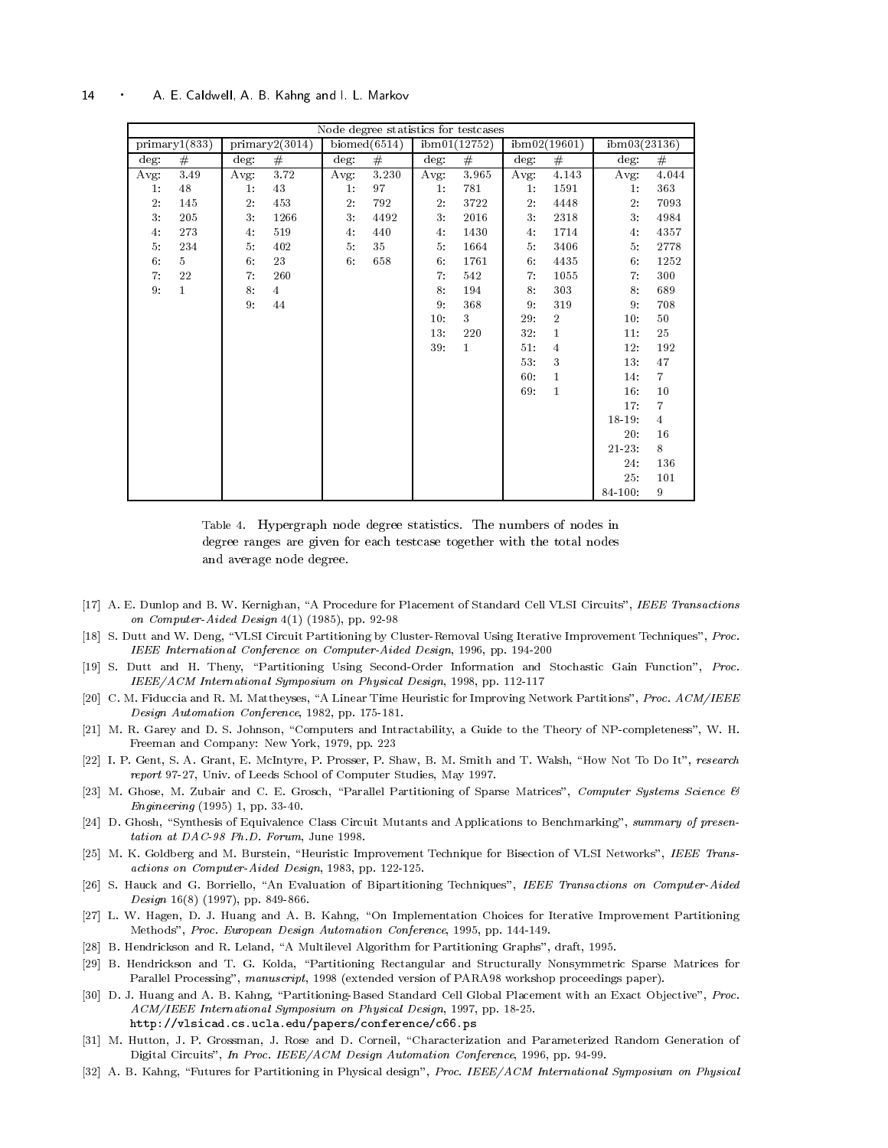|       |               |          |                |          |              |          | Node degree statistics for testcases |          |                |              |                |
|-------|---------------|----------|----------------|----------|--------------|----------|--------------------------------------|----------|----------------|--------------|----------------|
|       | primary1(833) |          | primary2(3014) |          | biomed(6514) |          | ibm01(12752)                         |          | ibm02(19601)   | ibm03(23136) |                |
| deg:  | #             | $\deg$ : | #              | $\deg$ : | #            | $\deg$ : | #                                    | $\deg$ : | #              | $\deg$ :     | #              |
| Avg:  | 3.49          | Avg:     | 3.72           | Avg:     | 3.230        | Avg:     | 3.965                                | Avg:     | 4.143          | Avg:         | 4.044          |
| $1$ . | 48            | 1:       | 43             | 1:       | 97           | 1:       | 781                                  | 1:       | 1591           | 1:           | 363            |
| 2:    | 145           | 2:       | 453            | $2$ :    | 792          | 2:       | 3722                                 | $2$ .    | 4448           | 2:           | 7093           |
| 3:    | 205           | 3.       | 1266           | 3:       | 4492         | 3.       | 2016                                 | 3.       | 2318           | $3 -$        | 4984           |
| 4:    | 273           | 4.       | 519            | 4:       | 440          | 4.       | 1430                                 | 4.       | 1714           | 4:           | 4357           |
| 5:    | 234           | 5.       | 402            | 5:       | 35           | 5.       | 1664                                 | 5.       | 3406           | 5.           | 2778           |
| 6:    | $5^{\circ}$   | 6:       | 23             | 6:       | 658          | 6:       | 1761                                 | 6:       | 4435           | 6:           | 1252           |
| 7:    | 22            | 7:       | 260            |          |              | 7:       | 542                                  | 7:       | 1055           | 7:           | 300            |
| $9 -$ | $\mathbf{1}$  | 8:       | 4 <sup>1</sup> |          |              | 8:       | 194                                  | 8.       | 303            | 8:           | 689            |
|       |               | 9:       | 44             |          |              | 9:       | 368                                  | 9:       | 319            | 9:           | 708            |
|       |               |          |                |          |              | 10:      | 3                                    | 29:      | $\overline{2}$ | 10:          | 50             |
|       |               |          |                |          |              | 13:      | 220                                  | 32.      | $\mathbf{1}$   | 11:          | 25             |
|       |               |          |                |          |              | 39.      | $\mathbf{1}$                         | 51:      | $\overline{4}$ | 12:          | 192            |
|       |               |          |                |          |              |          |                                      | 53:      | 3              | 13:          | 47             |
|       |               |          |                |          |              |          |                                      | 60:      | $\mathbf{1}$   | 14:          | $7^{\circ}$    |
|       |               |          |                |          |              |          |                                      | 69:      | $\mathbf{1}$   | 16:          | 10             |
|       |               |          |                |          |              |          |                                      |          |                | 17:          | $7^{\circ}$    |
|       |               |          |                |          |              |          |                                      |          |                | $18 - 19$ :  | 4 <sup>1</sup> |
|       |               |          |                |          |              |          |                                      |          |                | 20:          | 16             |
|       |               |          |                |          |              |          |                                      |          |                | $21-23$ :    | 8              |
|       |               |          |                |          |              |          |                                      |          |                | 24.          | 136            |
|       |               |          |                |          |              |          |                                      |          |                | 25:          | 101            |
|       |               |          |                |          |              |          |                                      |          |                | $84 - 100$ : | 9              |

Table 4. Hypergraph node degree statistics. The numbers of nodes in degree ranges are given for each testcase together with the total nodes and average node degree.

- [17] A. E. Dunlop and B. W. Kernighan, "A Procedure for Placement of Standard Cell VLSI Circuits", IEEE Transactions on Computer-Aided Design 4(1) (1985), pp. 92-98
- [18] S. Dutt and W. Deng, "VLSI Circuit Partitioning by Cluster-Removal Using Iterative Improvement Techniques", Proc. IEEE International Conference on Computer-Aided Design, 1996, pp. 194-200
- [19] S. Dutt and H. Theny, "Partitioning Using Second-Order Information and Stochastic Gain Function", Proc. IEEE/ACM International Symposium on Physical Design, 1998, pp. 112-117
- [20] C. M. Fiduccia and R. M. Mattheyses, "A Linear Time Heuristic for Improving Network Partitions", Proc. ACM/IEEE Design Automation Conference, 1982, pp. 175-181.
- [21] M. R. Garey and D. S. Johnson, "Computers and Intractability, a Guide to the Theory of NP-completeness", W. H. Freeman and Company: New York, 1979, pp. 223
- [22] I. P. Gent, S. A. Grant, E. McIntyre, P. Prosser, P. Shaw, B. M. Smith and T. Walsh, "How Not To Do It", research report 97-27, Univ. of Leeds School of Computer Studies, May 1997.
- [23] M. Ghose, M. Zubair and C. E. Grosch, "Parallel Partitioning of Sparse Matrices", Computer Systems Science & Engineering (1995) 1, pp. 33-40.
- [24] D. Ghosh, "Synthesis of Equivalence Class Circuit Mutants and Applications to Benchmarking", summary of presentation at DAC-98 Ph.D. Forum, June 1998.
- [25] M. K. Goldberg and M. Burstein, "Heuristic Improvement Technique for Bisection of VLSI Networks", IEEE Transactions on Computer-Aided Design, 1983, pp. 122-125.
- [26] S. Hauck and G. Borriello, "An Evaluation of Bipartitioning Techniques", IEEE Transactions on Computer-Aided Design 16(8) (1997), pp. 849-866.
- [27] L. W. Hagen, D. J. Huang and A. B. Kahng, "On Implementation Choices for Iterative Improvement Partitioning Methods", Proc. European Design Automation Conference, 1995, pp. 144-149.
- [28] B. Hendrickson and R. Leland, "A Multilevel Algorithm for Partitioning Graphs", draft, 1995.
- [29] B. Hendrickson and T. G. Kolda, "Partitioning Rectangular and Structurally Nonsymmetric Sparse Matrices for Parallel Processing", manuscript, 1998 (extended version of PARA98 workshop proceedings paper).
- [30] D. J. Huang and A. B. Kahng, "Partitioning-Based Standard Cell Global Placement with an Exact Objective", Proc. ACM/IEEE International Symposium on Physical Design, 1997, pp. 18-25. http://vlsicad.cs.ucla.edu/papers/conference/c66.ps
- [31] M. Hutton, J. P. Grossman, J. Rose and D. Corneil, "Characterization and Parameterized Random Generation of Digital Circuits", In Proc. IEEE/ACM Design Automation Conference, 1996, pp. 94-99.
- [32] A. B. Kahng, "Futures for Partitioning in Physical design", Proc. IEEE/ACM International Symposium on Physical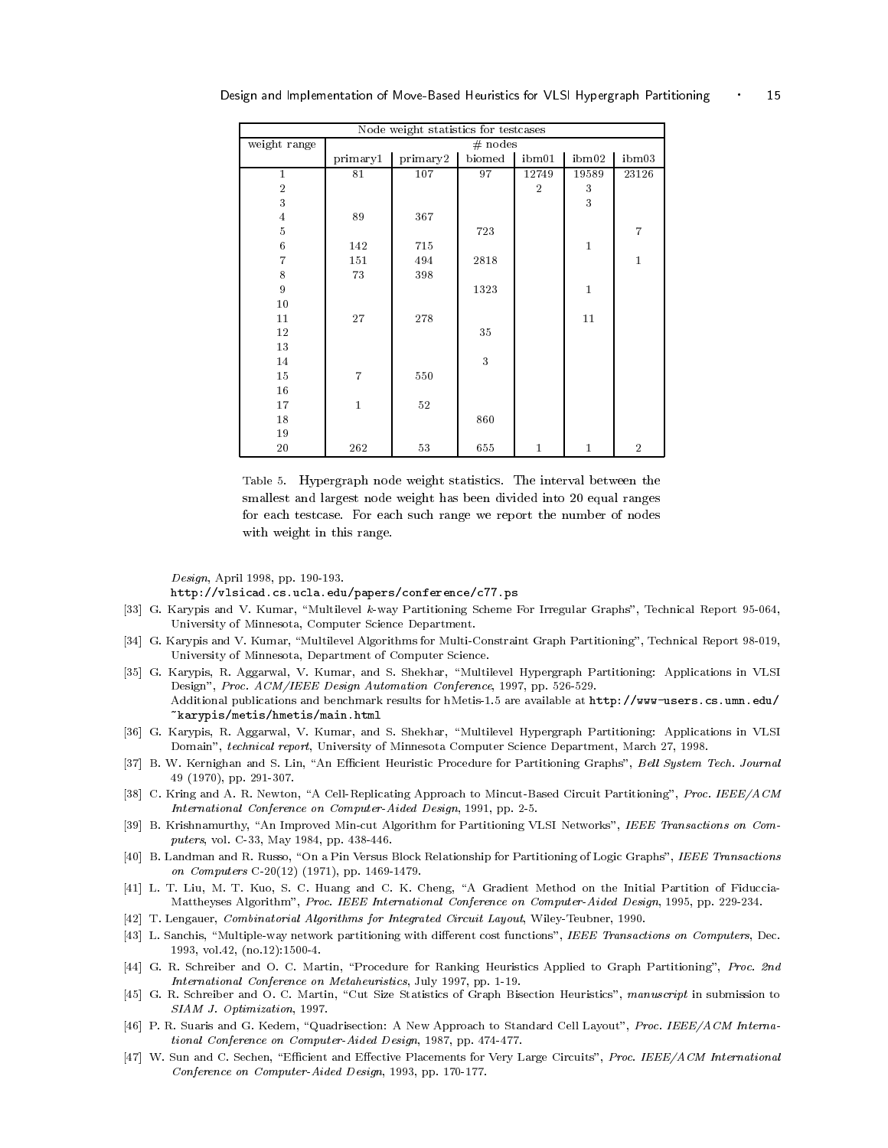| Node weight statistics for testcases |                |          |            |                |              |                |  |  |  |
|--------------------------------------|----------------|----------|------------|----------------|--------------|----------------|--|--|--|
| weight range                         |                |          | $#$ nodes  |                |              |                |  |  |  |
|                                      | primary1       | primary2 | biomed     | ibm01          | ibm02        | ibm03          |  |  |  |
| $\mathbf{1}$                         | 81             | 107      | 97         | 12749          | 19589        | 23126          |  |  |  |
| $\overline{2}$                       |                |          |            | $\overline{2}$ | 3            |                |  |  |  |
| 3                                    |                |          |            |                | 3            |                |  |  |  |
| $\overline{4}$                       | 89             | 367      |            |                |              |                |  |  |  |
| $\bf 5$                              |                |          | 723        |                |              | $\overline{7}$ |  |  |  |
| $\,6$                                | 142            | 715      |            |                | $\mathbf{1}$ |                |  |  |  |
| $\overline{7}$                       | 151            | 494      | 2818       |                |              | $\,1\,$        |  |  |  |
| $\bf 8$                              | 73             | 398      |            |                |              |                |  |  |  |
| 9                                    |                |          | 1323       |                | $\,1\,$      |                |  |  |  |
| 10                                   |                |          |            |                |              |                |  |  |  |
| 11                                   | 27             | 278      |            |                | 11           |                |  |  |  |
| 12                                   |                |          | 35         |                |              |                |  |  |  |
| 13                                   |                |          |            |                |              |                |  |  |  |
| 14                                   |                |          | $\sqrt{3}$ |                |              |                |  |  |  |
| 15                                   | $\overline{7}$ | 550      |            |                |              |                |  |  |  |
| 16                                   |                |          |            |                |              |                |  |  |  |
| 17                                   | $\mathbf{1}$   | $52\,$   |            |                |              |                |  |  |  |
| 18                                   |                |          | 860        |                |              |                |  |  |  |
| 19                                   |                |          |            |                |              |                |  |  |  |
| 20                                   | 262            | 53       | 655        | 1              | $\mathbf{1}$ | $\overline{2}$ |  |  |  |

Table 5. Hypergraph node weight statistics. The interval between the smallest and largest node weight has been divided into 20 equal ranges for each testcase. For each such range we report the number of nodes with weight in this range.

Design, April 1998, pp. 190-193.

#### http://vlsicad.cs.ucla.edu/papers/conference/c77.ps

- [33] G. Karypis and V. Kumar, "Multilevel k-way Partitioning Scheme For Irregular Graphs", Technical Report 95-064, University of Minnesota, Computer Science Department.
- [34] G. Karypis and V. Kumar, "Multilevel Algorithms for Multi-Constraint Graph Partitioning", Technical Report 98-019, University of Minnesota, Department of Computer Science.
- [35] G. Karypis, R. Aggarwal, V. Kumar, and S. Shekhar, "Multilevel Hypergraph Partitioning: Applications in VLSI Design", Proc. ACM/IEEE Design Automation Conference, 1997, pp. 526-529. Additional publications and benchmark results for hMetis-1.5 are available at http://www-users.cs.umn.edu/ ~karypis/metis/hmetis/main.html
- [36] G. Karypis, R. Aggarwal, V. Kumar, and S. Shekhar, "Multilevel Hypergraph Partitioning: Applications in VLSI Domain", technical report, University of Minnesota Computer Science Department, March 27, 1998.
- [37] B. W. Kernighan and S. Lin, "An Efficient Heuristic Procedure for Partitioning Graphs", Bell System Tech. Journal 49 (1970), pp. 291-307.
- [38] C. Kring and A. R. Newton, "A Cell-Replicating Approach to Mincut-Based Circuit Partitioning", Proc. IEEE/ACM International Conference on Computer-Aided Design, 1991, pp. 2-5.
- [39] B. Krishnamurthy, "An Improved Min-cut Algorithm for Partitioning VLSI Networks", IEEE Transactions on Computers, vol. C-33, May 1984, pp. 438-446.
- [40] B. Landman and R. Russo, "On a Pin Versus Block Relationship for Partitioning of Logic Graphs", IEEE Transactions on Computers C-20(12) (1971), pp. 1469-1479.
- [41] L. T. Liu, M. T. Kuo, S. C. Huang and C. K. Cheng, "A Gradient Method on the Initial Partition of Fiduccia-Mattheyses Algorithm", Proc. IEEE International Conference on Computer-Aided Design, 1995, pp. 229-234.
- [42] T. Lengauer, Combinatorial Algorithms for Integrated Circuit Layout, Wiley-Teubner, 1990.
- [43] L. Sanchis, "Multiple-way network partitioning with different cost functions", IEEE Transactions on Computers, Dec. 1993, vol.42, (no.12):1500-4.
- [44] G. R. Schreiber and O. C. Martin, "Procedure for Ranking Heuristics Applied to Graph Partitioning", Proc. 2nd International Conference on Metaheuristics, July 1997, pp. 1-19.
- [45] G. R. Schreiber and O. C. Martin, "Cut Size Statistics of Graph Bisection Heuristics", manuscript in submission to SIAM J. Optimization, 1997.
- [46] P. R. Suaris and G. Kedem, "Quadrisection: A New Approach to Standard Cell Layout", Proc. IEEE/ACM International Conference on Computer-Aided Design, 1987, pp. 474-477.
- [47] W. Sun and C. Sechen, "Efficient and Effective Placements for Very Large Circuits", Proc. IEEE/ACM International Conference on Computer-Aided Design, 1993, pp. 170-177.